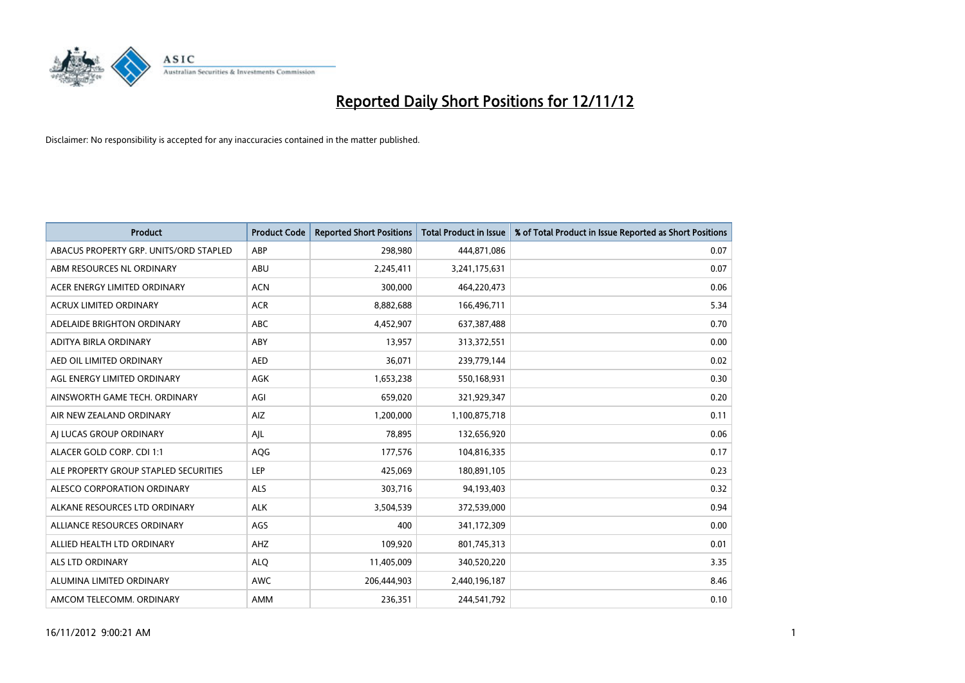

| <b>Product</b>                         | <b>Product Code</b> | <b>Reported Short Positions</b> | <b>Total Product in Issue</b> | % of Total Product in Issue Reported as Short Positions |
|----------------------------------------|---------------------|---------------------------------|-------------------------------|---------------------------------------------------------|
| ABACUS PROPERTY GRP. UNITS/ORD STAPLED | ABP                 | 298,980                         | 444,871,086                   | 0.07                                                    |
| ABM RESOURCES NL ORDINARY              | ABU                 | 2,245,411                       | 3,241,175,631                 | 0.07                                                    |
| ACER ENERGY LIMITED ORDINARY           | <b>ACN</b>          | 300,000                         | 464,220,473                   | 0.06                                                    |
| ACRUX LIMITED ORDINARY                 | <b>ACR</b>          | 8,882,688                       | 166,496,711                   | 5.34                                                    |
| ADELAIDE BRIGHTON ORDINARY             | <b>ABC</b>          | 4,452,907                       | 637,387,488                   | 0.70                                                    |
| ADITYA BIRLA ORDINARY                  | ABY                 | 13,957                          | 313,372,551                   | 0.00                                                    |
| AED OIL LIMITED ORDINARY               | <b>AED</b>          | 36,071                          | 239,779,144                   | 0.02                                                    |
| AGL ENERGY LIMITED ORDINARY            | <b>AGK</b>          | 1,653,238                       | 550,168,931                   | 0.30                                                    |
| AINSWORTH GAME TECH. ORDINARY          | AGI                 | 659,020                         | 321,929,347                   | 0.20                                                    |
| AIR NEW ZEALAND ORDINARY               | AIZ                 | 1,200,000                       | 1,100,875,718                 | 0.11                                                    |
| AJ LUCAS GROUP ORDINARY                | AJL                 | 78,895                          | 132,656,920                   | 0.06                                                    |
| ALACER GOLD CORP. CDI 1:1              | <b>AQG</b>          | 177,576                         | 104,816,335                   | 0.17                                                    |
| ALE PROPERTY GROUP STAPLED SECURITIES  | LEP                 | 425,069                         | 180,891,105                   | 0.23                                                    |
| ALESCO CORPORATION ORDINARY            | <b>ALS</b>          | 303,716                         | 94,193,403                    | 0.32                                                    |
| ALKANE RESOURCES LTD ORDINARY          | <b>ALK</b>          | 3,504,539                       | 372,539,000                   | 0.94                                                    |
| ALLIANCE RESOURCES ORDINARY            | AGS                 | 400                             | 341,172,309                   | 0.00                                                    |
| ALLIED HEALTH LTD ORDINARY             | AHZ                 | 109,920                         | 801,745,313                   | 0.01                                                    |
| <b>ALS LTD ORDINARY</b>                | <b>ALQ</b>          | 11,405,009                      | 340,520,220                   | 3.35                                                    |
| ALUMINA LIMITED ORDINARY               | <b>AWC</b>          | 206,444,903                     | 2,440,196,187                 | 8.46                                                    |
| AMCOM TELECOMM, ORDINARY               | <b>AMM</b>          | 236,351                         | 244,541,792                   | 0.10                                                    |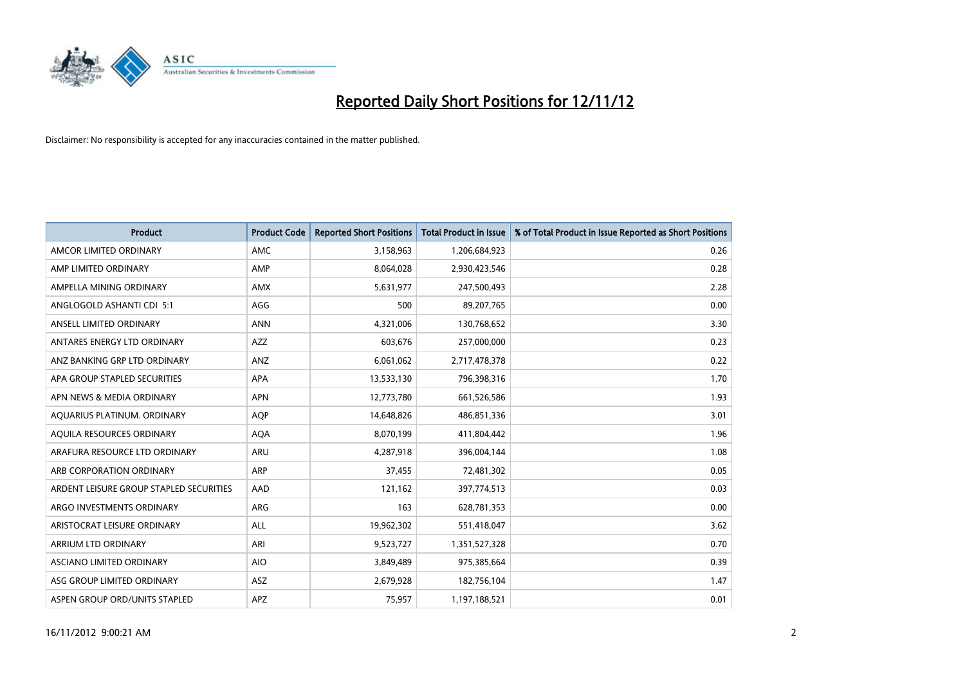

| <b>Product</b>                          | <b>Product Code</b> | <b>Reported Short Positions</b> | <b>Total Product in Issue</b> | % of Total Product in Issue Reported as Short Positions |
|-----------------------------------------|---------------------|---------------------------------|-------------------------------|---------------------------------------------------------|
| AMCOR LIMITED ORDINARY                  | <b>AMC</b>          | 3,158,963                       | 1,206,684,923                 | 0.26                                                    |
| AMP LIMITED ORDINARY                    | AMP                 | 8,064,028                       | 2,930,423,546                 | 0.28                                                    |
| AMPELLA MINING ORDINARY                 | <b>AMX</b>          | 5,631,977                       | 247,500,493                   | 2.28                                                    |
| ANGLOGOLD ASHANTI CDI 5:1               | AGG                 | 500                             | 89,207,765                    | 0.00                                                    |
| ANSELL LIMITED ORDINARY                 | <b>ANN</b>          | 4,321,006                       | 130,768,652                   | 3.30                                                    |
| ANTARES ENERGY LTD ORDINARY             | <b>AZZ</b>          | 603,676                         | 257,000,000                   | 0.23                                                    |
| ANZ BANKING GRP LTD ORDINARY            | ANZ                 | 6,061,062                       | 2,717,478,378                 | 0.22                                                    |
| APA GROUP STAPLED SECURITIES            | <b>APA</b>          | 13,533,130                      | 796,398,316                   | 1.70                                                    |
| APN NEWS & MEDIA ORDINARY               | <b>APN</b>          | 12,773,780                      | 661,526,586                   | 1.93                                                    |
| AOUARIUS PLATINUM. ORDINARY             | <b>AOP</b>          | 14,648,826                      | 486,851,336                   | 3.01                                                    |
| AQUILA RESOURCES ORDINARY               | <b>AQA</b>          | 8,070,199                       | 411,804,442                   | 1.96                                                    |
| ARAFURA RESOURCE LTD ORDINARY           | ARU                 | 4,287,918                       | 396,004,144                   | 1.08                                                    |
| ARB CORPORATION ORDINARY                | ARP                 | 37.455                          | 72,481,302                    | 0.05                                                    |
| ARDENT LEISURE GROUP STAPLED SECURITIES | AAD                 | 121,162                         | 397,774,513                   | 0.03                                                    |
| ARGO INVESTMENTS ORDINARY               | <b>ARG</b>          | 163                             | 628,781,353                   | 0.00                                                    |
| ARISTOCRAT LEISURE ORDINARY             | <b>ALL</b>          | 19,962,302                      | 551,418,047                   | 3.62                                                    |
| ARRIUM LTD ORDINARY                     | ARI                 | 9,523,727                       | 1,351,527,328                 | 0.70                                                    |
| ASCIANO LIMITED ORDINARY                | <b>AIO</b>          | 3,849,489                       | 975,385,664                   | 0.39                                                    |
| ASG GROUP LIMITED ORDINARY              | <b>ASZ</b>          | 2,679,928                       | 182,756,104                   | 1.47                                                    |
| ASPEN GROUP ORD/UNITS STAPLED           | <b>APZ</b>          | 75,957                          | 1,197,188,521                 | 0.01                                                    |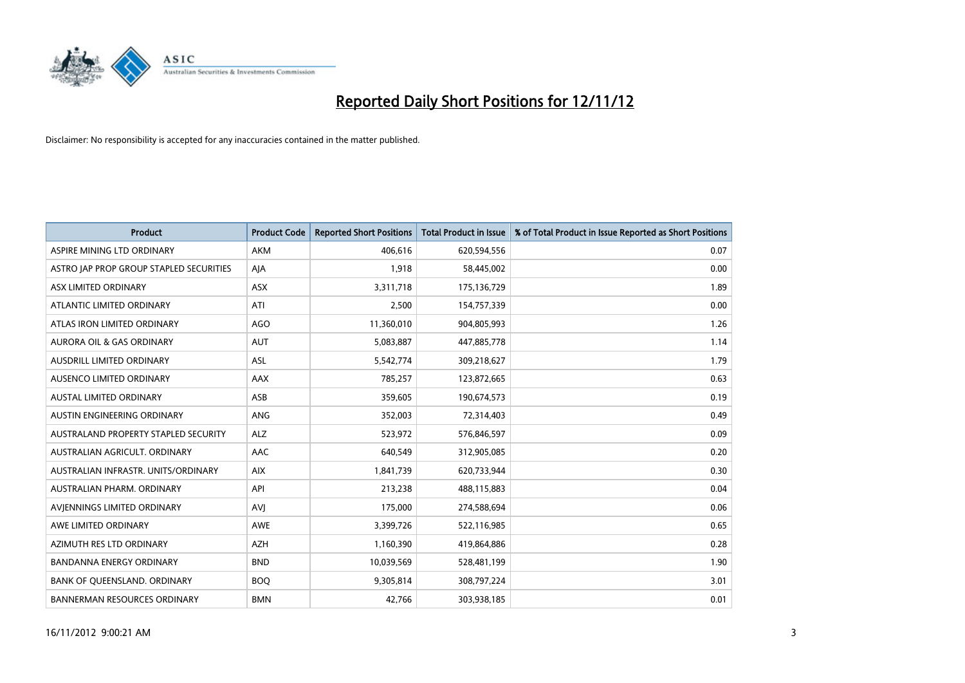

| <b>Product</b>                          | <b>Product Code</b> | <b>Reported Short Positions</b> | <b>Total Product in Issue</b> | % of Total Product in Issue Reported as Short Positions |
|-----------------------------------------|---------------------|---------------------------------|-------------------------------|---------------------------------------------------------|
| ASPIRE MINING LTD ORDINARY              | <b>AKM</b>          | 406.616                         | 620,594,556                   | 0.07                                                    |
| ASTRO JAP PROP GROUP STAPLED SECURITIES | AJA                 | 1,918                           | 58,445,002                    | 0.00                                                    |
| ASX LIMITED ORDINARY                    | <b>ASX</b>          | 3,311,718                       | 175,136,729                   | 1.89                                                    |
| ATLANTIC LIMITED ORDINARY               | ATI                 | 2,500                           | 154,757,339                   | 0.00                                                    |
| ATLAS IRON LIMITED ORDINARY             | AGO                 | 11,360,010                      | 904,805,993                   | 1.26                                                    |
| <b>AURORA OIL &amp; GAS ORDINARY</b>    | <b>AUT</b>          | 5,083,887                       | 447,885,778                   | 1.14                                                    |
| AUSDRILL LIMITED ORDINARY               | ASL                 | 5,542,774                       | 309,218,627                   | 1.79                                                    |
| <b>AUSENCO LIMITED ORDINARY</b>         | AAX                 | 785,257                         | 123,872,665                   | 0.63                                                    |
| <b>AUSTAL LIMITED ORDINARY</b>          | ASB                 | 359,605                         | 190,674,573                   | 0.19                                                    |
| AUSTIN ENGINEERING ORDINARY             | <b>ANG</b>          | 352,003                         | 72,314,403                    | 0.49                                                    |
| AUSTRALAND PROPERTY STAPLED SECURITY    | <b>ALZ</b>          | 523,972                         | 576,846,597                   | 0.09                                                    |
| AUSTRALIAN AGRICULT. ORDINARY           | AAC                 | 640,549                         | 312,905,085                   | 0.20                                                    |
| AUSTRALIAN INFRASTR, UNITS/ORDINARY     | <b>AIX</b>          | 1,841,739                       | 620,733,944                   | 0.30                                                    |
| AUSTRALIAN PHARM, ORDINARY              | API                 | 213,238                         | 488,115,883                   | 0.04                                                    |
| AVIENNINGS LIMITED ORDINARY             | AVI                 | 175,000                         | 274,588,694                   | 0.06                                                    |
| AWE LIMITED ORDINARY                    | <b>AWE</b>          | 3,399,726                       | 522,116,985                   | 0.65                                                    |
| AZIMUTH RES LTD ORDINARY                | <b>AZH</b>          | 1,160,390                       | 419,864,886                   | 0.28                                                    |
| BANDANNA ENERGY ORDINARY                | <b>BND</b>          | 10,039,569                      | 528,481,199                   | 1.90                                                    |
| BANK OF QUEENSLAND. ORDINARY            | <b>BOQ</b>          | 9,305,814                       | 308,797,224                   | 3.01                                                    |
| <b>BANNERMAN RESOURCES ORDINARY</b>     | <b>BMN</b>          | 42,766                          | 303,938,185                   | 0.01                                                    |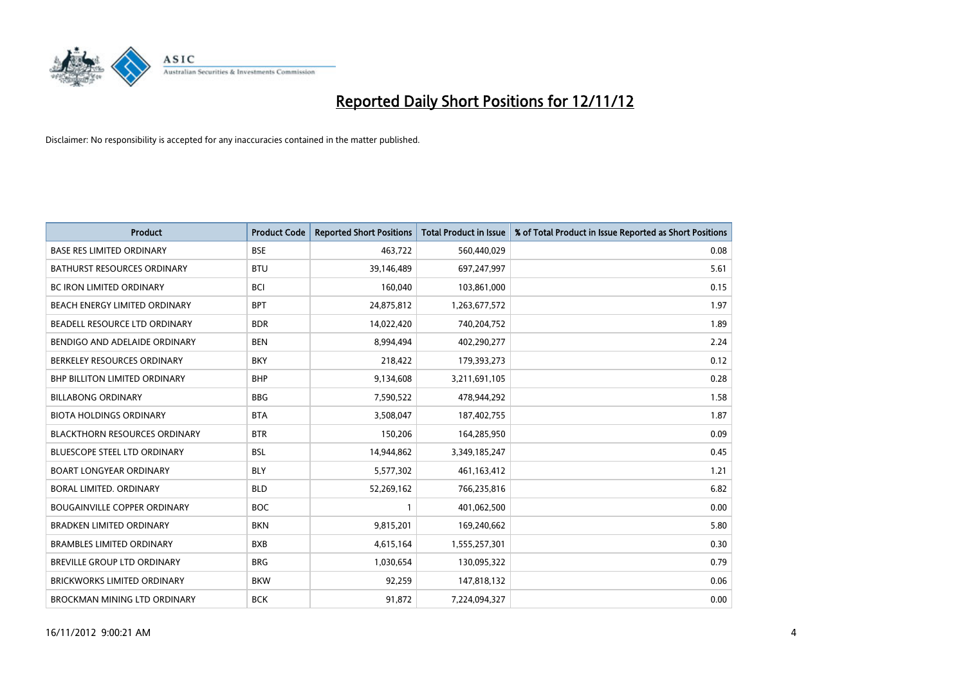

| <b>Product</b>                       | <b>Product Code</b> | <b>Reported Short Positions</b> | <b>Total Product in Issue</b> | % of Total Product in Issue Reported as Short Positions |
|--------------------------------------|---------------------|---------------------------------|-------------------------------|---------------------------------------------------------|
| <b>BASE RES LIMITED ORDINARY</b>     | <b>BSE</b>          | 463,722                         | 560,440,029                   | 0.08                                                    |
| <b>BATHURST RESOURCES ORDINARY</b>   | <b>BTU</b>          | 39,146,489                      | 697,247,997                   | 5.61                                                    |
| <b>BC IRON LIMITED ORDINARY</b>      | <b>BCI</b>          | 160,040                         | 103,861,000                   | 0.15                                                    |
| <b>BEACH ENERGY LIMITED ORDINARY</b> | <b>BPT</b>          | 24,875,812                      | 1,263,677,572                 | 1.97                                                    |
| BEADELL RESOURCE LTD ORDINARY        | <b>BDR</b>          | 14,022,420                      | 740,204,752                   | 1.89                                                    |
| BENDIGO AND ADELAIDE ORDINARY        | <b>BEN</b>          | 8,994,494                       | 402,290,277                   | 2.24                                                    |
| BERKELEY RESOURCES ORDINARY          | <b>BKY</b>          | 218,422                         | 179,393,273                   | 0.12                                                    |
| <b>BHP BILLITON LIMITED ORDINARY</b> | <b>BHP</b>          | 9,134,608                       | 3,211,691,105                 | 0.28                                                    |
| <b>BILLABONG ORDINARY</b>            | <b>BBG</b>          | 7,590,522                       | 478,944,292                   | 1.58                                                    |
| <b>BIOTA HOLDINGS ORDINARY</b>       | <b>BTA</b>          | 3,508,047                       | 187,402,755                   | 1.87                                                    |
| <b>BLACKTHORN RESOURCES ORDINARY</b> | <b>BTR</b>          | 150,206                         | 164,285,950                   | 0.09                                                    |
| BLUESCOPE STEEL LTD ORDINARY         | <b>BSL</b>          | 14,944,862                      | 3,349,185,247                 | 0.45                                                    |
| <b>BOART LONGYEAR ORDINARY</b>       | <b>BLY</b>          | 5,577,302                       | 461,163,412                   | 1.21                                                    |
| BORAL LIMITED, ORDINARY              | <b>BLD</b>          | 52,269,162                      | 766,235,816                   | 6.82                                                    |
| <b>BOUGAINVILLE COPPER ORDINARY</b>  | <b>BOC</b>          |                                 | 401,062,500                   | 0.00                                                    |
| BRADKEN LIMITED ORDINARY             | <b>BKN</b>          | 9,815,201                       | 169,240,662                   | 5.80                                                    |
| <b>BRAMBLES LIMITED ORDINARY</b>     | <b>BXB</b>          | 4,615,164                       | 1,555,257,301                 | 0.30                                                    |
| BREVILLE GROUP LTD ORDINARY          | <b>BRG</b>          | 1,030,654                       | 130,095,322                   | 0.79                                                    |
| <b>BRICKWORKS LIMITED ORDINARY</b>   | <b>BKW</b>          | 92,259                          | 147,818,132                   | 0.06                                                    |
| BROCKMAN MINING LTD ORDINARY         | <b>BCK</b>          | 91,872                          | 7,224,094,327                 | 0.00                                                    |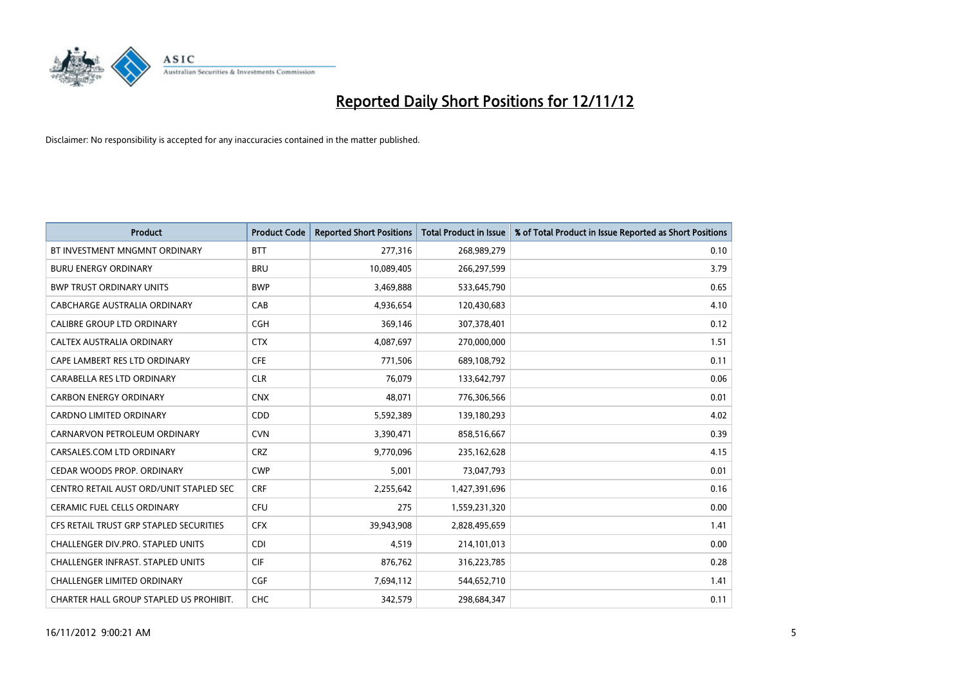

| <b>Product</b>                          | <b>Product Code</b> | <b>Reported Short Positions</b> | <b>Total Product in Issue</b> | % of Total Product in Issue Reported as Short Positions |
|-----------------------------------------|---------------------|---------------------------------|-------------------------------|---------------------------------------------------------|
| BT INVESTMENT MNGMNT ORDINARY           | <b>BTT</b>          | 277,316                         | 268,989,279                   | 0.10                                                    |
| <b>BURU ENERGY ORDINARY</b>             | <b>BRU</b>          | 10,089,405                      | 266,297,599                   | 3.79                                                    |
| <b>BWP TRUST ORDINARY UNITS</b>         | <b>BWP</b>          | 3,469,888                       | 533,645,790                   | 0.65                                                    |
| CABCHARGE AUSTRALIA ORDINARY            | CAB                 | 4,936,654                       | 120,430,683                   | 4.10                                                    |
| <b>CALIBRE GROUP LTD ORDINARY</b>       | <b>CGH</b>          | 369,146                         | 307,378,401                   | 0.12                                                    |
| CALTEX AUSTRALIA ORDINARY               | <b>CTX</b>          | 4,087,697                       | 270,000,000                   | 1.51                                                    |
| CAPE LAMBERT RES LTD ORDINARY           | <b>CFE</b>          | 771.506                         | 689,108,792                   | 0.11                                                    |
| CARABELLA RES LTD ORDINARY              | <b>CLR</b>          | 76,079                          | 133,642,797                   | 0.06                                                    |
| <b>CARBON ENERGY ORDINARY</b>           | <b>CNX</b>          | 48,071                          | 776,306,566                   | 0.01                                                    |
| <b>CARDNO LIMITED ORDINARY</b>          | <b>CDD</b>          | 5,592,389                       | 139,180,293                   | 4.02                                                    |
| CARNARVON PETROLEUM ORDINARY            | <b>CVN</b>          | 3,390,471                       | 858,516,667                   | 0.39                                                    |
| CARSALES.COM LTD ORDINARY               | <b>CRZ</b>          | 9,770,096                       | 235,162,628                   | 4.15                                                    |
| CEDAR WOODS PROP. ORDINARY              | <b>CWP</b>          | 5,001                           | 73,047,793                    | 0.01                                                    |
| CENTRO RETAIL AUST ORD/UNIT STAPLED SEC | <b>CRF</b>          | 2,255,642                       | 1,427,391,696                 | 0.16                                                    |
| <b>CERAMIC FUEL CELLS ORDINARY</b>      | <b>CFU</b>          | 275                             | 1,559,231,320                 | 0.00                                                    |
| CFS RETAIL TRUST GRP STAPLED SECURITIES | <b>CFX</b>          | 39,943,908                      | 2,828,495,659                 | 1.41                                                    |
| CHALLENGER DIV.PRO. STAPLED UNITS       | <b>CDI</b>          | 4,519                           | 214,101,013                   | 0.00                                                    |
| CHALLENGER INFRAST. STAPLED UNITS       | <b>CIF</b>          | 876,762                         | 316,223,785                   | 0.28                                                    |
| <b>CHALLENGER LIMITED ORDINARY</b>      | <b>CGF</b>          | 7,694,112                       | 544,652,710                   | 1.41                                                    |
| CHARTER HALL GROUP STAPLED US PROHIBIT. | <b>CHC</b>          | 342.579                         | 298,684,347                   | 0.11                                                    |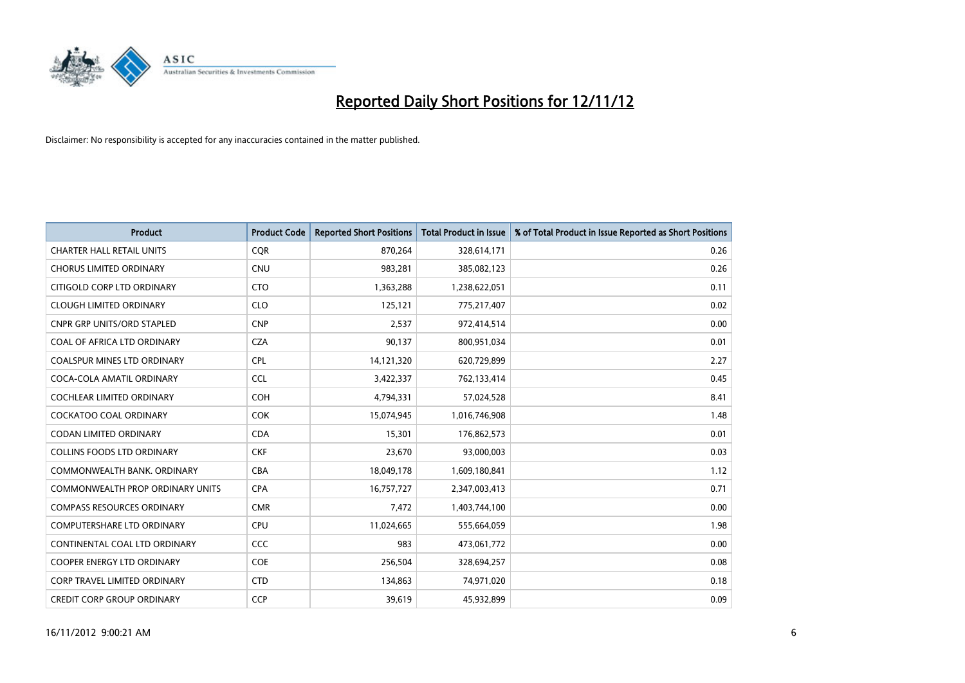

| <b>Product</b>                          | <b>Product Code</b> | <b>Reported Short Positions</b> | <b>Total Product in Issue</b> | % of Total Product in Issue Reported as Short Positions |
|-----------------------------------------|---------------------|---------------------------------|-------------------------------|---------------------------------------------------------|
| <b>CHARTER HALL RETAIL UNITS</b>        | <b>CQR</b>          | 870,264                         | 328,614,171                   | 0.26                                                    |
| <b>CHORUS LIMITED ORDINARY</b>          | <b>CNU</b>          | 983,281                         | 385,082,123                   | 0.26                                                    |
| CITIGOLD CORP LTD ORDINARY              | <b>CTO</b>          | 1,363,288                       | 1,238,622,051                 | 0.11                                                    |
| <b>CLOUGH LIMITED ORDINARY</b>          | <b>CLO</b>          | 125,121                         | 775,217,407                   | 0.02                                                    |
| <b>CNPR GRP UNITS/ORD STAPLED</b>       | <b>CNP</b>          | 2,537                           | 972,414,514                   | 0.00                                                    |
| COAL OF AFRICA LTD ORDINARY             | <b>CZA</b>          | 90,137                          | 800,951,034                   | 0.01                                                    |
| <b>COALSPUR MINES LTD ORDINARY</b>      | <b>CPL</b>          | 14,121,320                      | 620,729,899                   | 2.27                                                    |
| COCA-COLA AMATIL ORDINARY               | <b>CCL</b>          | 3,422,337                       | 762,133,414                   | 0.45                                                    |
| COCHLEAR LIMITED ORDINARY               | <b>COH</b>          | 4,794,331                       | 57,024,528                    | 8.41                                                    |
| <b>COCKATOO COAL ORDINARY</b>           | <b>COK</b>          | 15,074,945                      | 1,016,746,908                 | 1.48                                                    |
| CODAN LIMITED ORDINARY                  | <b>CDA</b>          | 15,301                          | 176,862,573                   | 0.01                                                    |
| <b>COLLINS FOODS LTD ORDINARY</b>       | <b>CKF</b>          | 23,670                          | 93,000,003                    | 0.03                                                    |
| COMMONWEALTH BANK, ORDINARY             | <b>CBA</b>          | 18,049,178                      | 1,609,180,841                 | 1.12                                                    |
| <b>COMMONWEALTH PROP ORDINARY UNITS</b> | <b>CPA</b>          | 16,757,727                      | 2,347,003,413                 | 0.71                                                    |
| <b>COMPASS RESOURCES ORDINARY</b>       | <b>CMR</b>          | 7,472                           | 1,403,744,100                 | 0.00                                                    |
| COMPUTERSHARE LTD ORDINARY              | <b>CPU</b>          | 11,024,665                      | 555,664,059                   | 1.98                                                    |
| CONTINENTAL COAL LTD ORDINARY           | CCC                 | 983                             | 473,061,772                   | 0.00                                                    |
| COOPER ENERGY LTD ORDINARY              | <b>COE</b>          | 256,504                         | 328,694,257                   | 0.08                                                    |
| <b>CORP TRAVEL LIMITED ORDINARY</b>     | <b>CTD</b>          | 134,863                         | 74,971,020                    | 0.18                                                    |
| <b>CREDIT CORP GROUP ORDINARY</b>       | CCP                 | 39,619                          | 45,932,899                    | 0.09                                                    |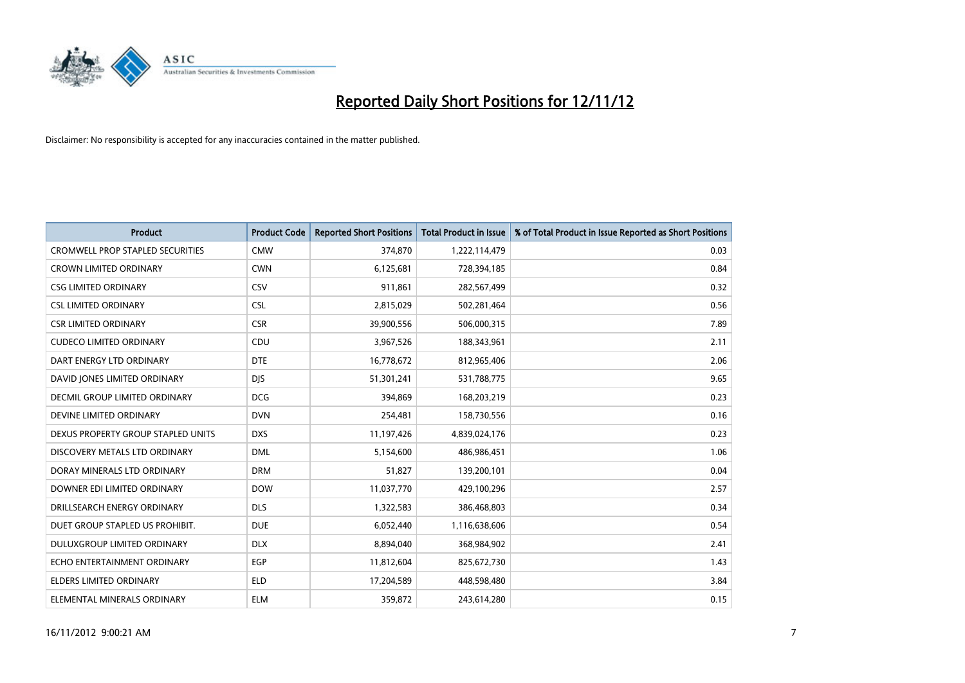

| <b>Product</b>                          | <b>Product Code</b> | <b>Reported Short Positions</b> | <b>Total Product in Issue</b> | % of Total Product in Issue Reported as Short Positions |
|-----------------------------------------|---------------------|---------------------------------|-------------------------------|---------------------------------------------------------|
| <b>CROMWELL PROP STAPLED SECURITIES</b> | <b>CMW</b>          | 374,870                         | 1,222,114,479                 | 0.03                                                    |
| <b>CROWN LIMITED ORDINARY</b>           | <b>CWN</b>          | 6,125,681                       | 728,394,185                   | 0.84                                                    |
| <b>CSG LIMITED ORDINARY</b>             | CSV                 | 911,861                         | 282,567,499                   | 0.32                                                    |
| <b>CSL LIMITED ORDINARY</b>             | <b>CSL</b>          | 2,815,029                       | 502,281,464                   | 0.56                                                    |
| <b>CSR LIMITED ORDINARY</b>             | <b>CSR</b>          | 39,900,556                      | 506,000,315                   | 7.89                                                    |
| <b>CUDECO LIMITED ORDINARY</b>          | CDU                 | 3,967,526                       | 188,343,961                   | 2.11                                                    |
| DART ENERGY LTD ORDINARY                | <b>DTE</b>          | 16,778,672                      | 812,965,406                   | 2.06                                                    |
| DAVID JONES LIMITED ORDINARY            | <b>DJS</b>          | 51,301,241                      | 531,788,775                   | 9.65                                                    |
| DECMIL GROUP LIMITED ORDINARY           | <b>DCG</b>          | 394,869                         | 168,203,219                   | 0.23                                                    |
| DEVINE LIMITED ORDINARY                 | <b>DVN</b>          | 254,481                         | 158,730,556                   | 0.16                                                    |
| DEXUS PROPERTY GROUP STAPLED UNITS      | <b>DXS</b>          | 11,197,426                      | 4,839,024,176                 | 0.23                                                    |
| DISCOVERY METALS LTD ORDINARY           | <b>DML</b>          | 5,154,600                       | 486,986,451                   | 1.06                                                    |
| DORAY MINERALS LTD ORDINARY             | <b>DRM</b>          | 51,827                          | 139,200,101                   | 0.04                                                    |
| DOWNER EDI LIMITED ORDINARY             | <b>DOW</b>          | 11,037,770                      | 429,100,296                   | 2.57                                                    |
| DRILLSEARCH ENERGY ORDINARY             | <b>DLS</b>          | 1,322,583                       | 386,468,803                   | 0.34                                                    |
| DUET GROUP STAPLED US PROHIBIT.         | <b>DUE</b>          | 6,052,440                       | 1,116,638,606                 | 0.54                                                    |
| <b>DULUXGROUP LIMITED ORDINARY</b>      | <b>DLX</b>          | 8,894,040                       | 368,984,902                   | 2.41                                                    |
| ECHO ENTERTAINMENT ORDINARY             | <b>EGP</b>          | 11,812,604                      | 825,672,730                   | 1.43                                                    |
| ELDERS LIMITED ORDINARY                 | <b>ELD</b>          | 17,204,589                      | 448,598,480                   | 3.84                                                    |
| ELEMENTAL MINERALS ORDINARY             | <b>ELM</b>          | 359,872                         | 243,614,280                   | 0.15                                                    |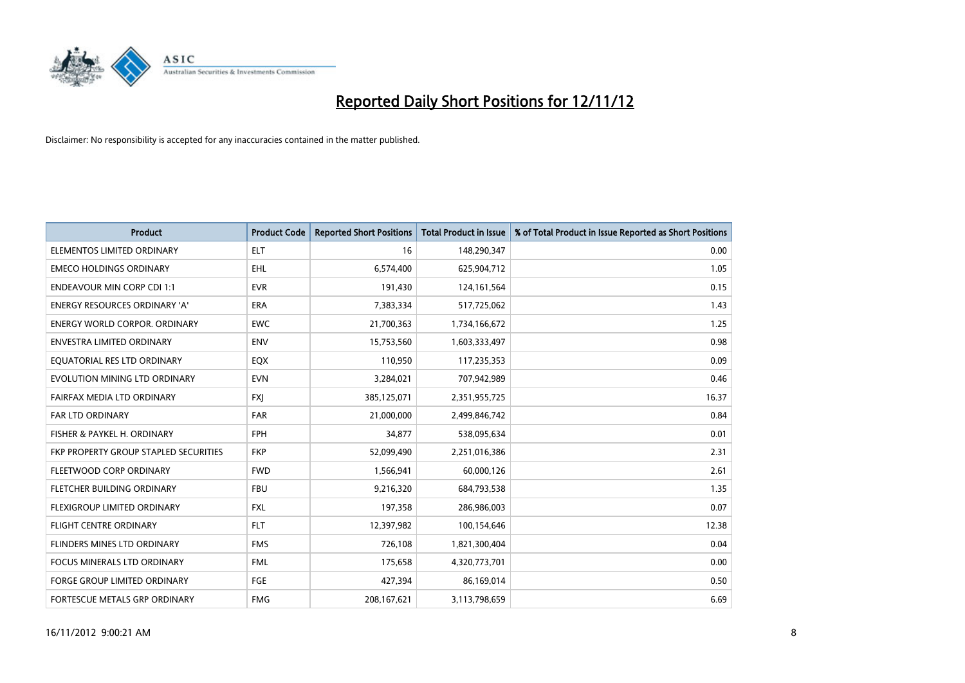

| <b>Product</b>                        | <b>Product Code</b> | <b>Reported Short Positions</b> | <b>Total Product in Issue</b> | % of Total Product in Issue Reported as Short Positions |
|---------------------------------------|---------------------|---------------------------------|-------------------------------|---------------------------------------------------------|
| ELEMENTOS LIMITED ORDINARY            | <b>ELT</b>          | 16                              | 148,290,347                   | 0.00                                                    |
| <b>EMECO HOLDINGS ORDINARY</b>        | <b>EHL</b>          | 6,574,400                       | 625,904,712                   | 1.05                                                    |
| <b>ENDEAVOUR MIN CORP CDI 1:1</b>     | <b>EVR</b>          | 191,430                         | 124,161,564                   | 0.15                                                    |
| ENERGY RESOURCES ORDINARY 'A'         | ERA                 | 7,383,334                       | 517,725,062                   | 1.43                                                    |
| <b>ENERGY WORLD CORPOR, ORDINARY</b>  | <b>EWC</b>          | 21,700,363                      | 1,734,166,672                 | 1.25                                                    |
| ENVESTRA LIMITED ORDINARY             | <b>ENV</b>          | 15,753,560                      | 1,603,333,497                 | 0.98                                                    |
| EQUATORIAL RES LTD ORDINARY           | <b>EQX</b>          | 110,950                         | 117,235,353                   | 0.09                                                    |
| EVOLUTION MINING LTD ORDINARY         | <b>EVN</b>          | 3,284,021                       | 707,942,989                   | 0.46                                                    |
| FAIRFAX MEDIA LTD ORDINARY            | <b>FXI</b>          | 385,125,071                     | 2,351,955,725                 | 16.37                                                   |
| <b>FAR LTD ORDINARY</b>               | FAR                 | 21,000,000                      | 2,499,846,742                 | 0.84                                                    |
| FISHER & PAYKEL H. ORDINARY           | <b>FPH</b>          | 34,877                          | 538,095,634                   | 0.01                                                    |
| FKP PROPERTY GROUP STAPLED SECURITIES | <b>FKP</b>          | 52,099,490                      | 2,251,016,386                 | 2.31                                                    |
| FLEETWOOD CORP ORDINARY               | <b>FWD</b>          | 1,566,941                       | 60,000,126                    | 2.61                                                    |
| FLETCHER BUILDING ORDINARY            | <b>FBU</b>          | 9,216,320                       | 684,793,538                   | 1.35                                                    |
| <b>FLEXIGROUP LIMITED ORDINARY</b>    | <b>FXL</b>          | 197,358                         | 286,986,003                   | 0.07                                                    |
| FLIGHT CENTRE ORDINARY                | <b>FLT</b>          | 12,397,982                      | 100,154,646                   | 12.38                                                   |
| FLINDERS MINES LTD ORDINARY           | <b>FMS</b>          | 726,108                         | 1,821,300,404                 | 0.04                                                    |
| FOCUS MINERALS LTD ORDINARY           | <b>FML</b>          | 175,658                         | 4,320,773,701                 | 0.00                                                    |
| <b>FORGE GROUP LIMITED ORDINARY</b>   | FGE                 | 427,394                         | 86,169,014                    | 0.50                                                    |
| FORTESCUE METALS GRP ORDINARY         | <b>FMG</b>          | 208,167,621                     | 3,113,798,659                 | 6.69                                                    |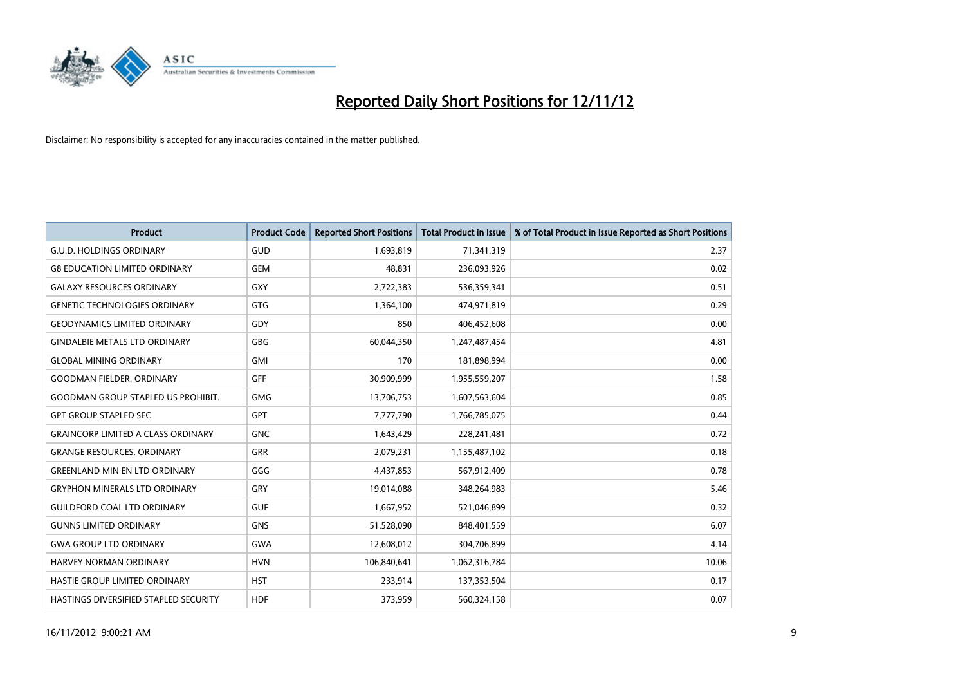

| <b>Product</b>                            | <b>Product Code</b> | <b>Reported Short Positions</b> | <b>Total Product in Issue</b> | % of Total Product in Issue Reported as Short Positions |
|-------------------------------------------|---------------------|---------------------------------|-------------------------------|---------------------------------------------------------|
| <b>G.U.D. HOLDINGS ORDINARY</b>           | GUD                 | 1,693,819                       | 71,341,319                    | 2.37                                                    |
| <b>G8 EDUCATION LIMITED ORDINARY</b>      | <b>GEM</b>          | 48,831                          | 236,093,926                   | 0.02                                                    |
| <b>GALAXY RESOURCES ORDINARY</b>          | <b>GXY</b>          | 2,722,383                       | 536,359,341                   | 0.51                                                    |
| <b>GENETIC TECHNOLOGIES ORDINARY</b>      | <b>GTG</b>          | 1,364,100                       | 474,971,819                   | 0.29                                                    |
| <b>GEODYNAMICS LIMITED ORDINARY</b>       | GDY                 | 850                             | 406,452,608                   | 0.00                                                    |
| <b>GINDALBIE METALS LTD ORDINARY</b>      | <b>GBG</b>          | 60,044,350                      | 1,247,487,454                 | 4.81                                                    |
| <b>GLOBAL MINING ORDINARY</b>             | <b>GMI</b>          | 170                             | 181,898,994                   | 0.00                                                    |
| <b>GOODMAN FIELDER, ORDINARY</b>          | <b>GFF</b>          | 30,909,999                      | 1,955,559,207                 | 1.58                                                    |
| <b>GOODMAN GROUP STAPLED US PROHIBIT.</b> | <b>GMG</b>          | 13,706,753                      | 1,607,563,604                 | 0.85                                                    |
| <b>GPT GROUP STAPLED SEC.</b>             | <b>GPT</b>          | 7,777,790                       | 1,766,785,075                 | 0.44                                                    |
| <b>GRAINCORP LIMITED A CLASS ORDINARY</b> | <b>GNC</b>          | 1,643,429                       | 228,241,481                   | 0.72                                                    |
| <b>GRANGE RESOURCES. ORDINARY</b>         | <b>GRR</b>          | 2,079,231                       | 1,155,487,102                 | 0.18                                                    |
| <b>GREENLAND MIN EN LTD ORDINARY</b>      | GGG                 | 4,437,853                       | 567,912,409                   | 0.78                                                    |
| <b>GRYPHON MINERALS LTD ORDINARY</b>      | GRY                 | 19,014,088                      | 348,264,983                   | 5.46                                                    |
| <b>GUILDFORD COAL LTD ORDINARY</b>        | <b>GUF</b>          | 1,667,952                       | 521,046,899                   | 0.32                                                    |
| <b>GUNNS LIMITED ORDINARY</b>             | <b>GNS</b>          | 51,528,090                      | 848,401,559                   | 6.07                                                    |
| <b>GWA GROUP LTD ORDINARY</b>             | <b>GWA</b>          | 12,608,012                      | 304,706,899                   | 4.14                                                    |
| <b>HARVEY NORMAN ORDINARY</b>             | <b>HVN</b>          | 106,840,641                     | 1,062,316,784                 | 10.06                                                   |
| HASTIE GROUP LIMITED ORDINARY             | <b>HST</b>          | 233,914                         | 137,353,504                   | 0.17                                                    |
| HASTINGS DIVERSIFIED STAPLED SECURITY     | <b>HDF</b>          | 373,959                         | 560,324,158                   | 0.07                                                    |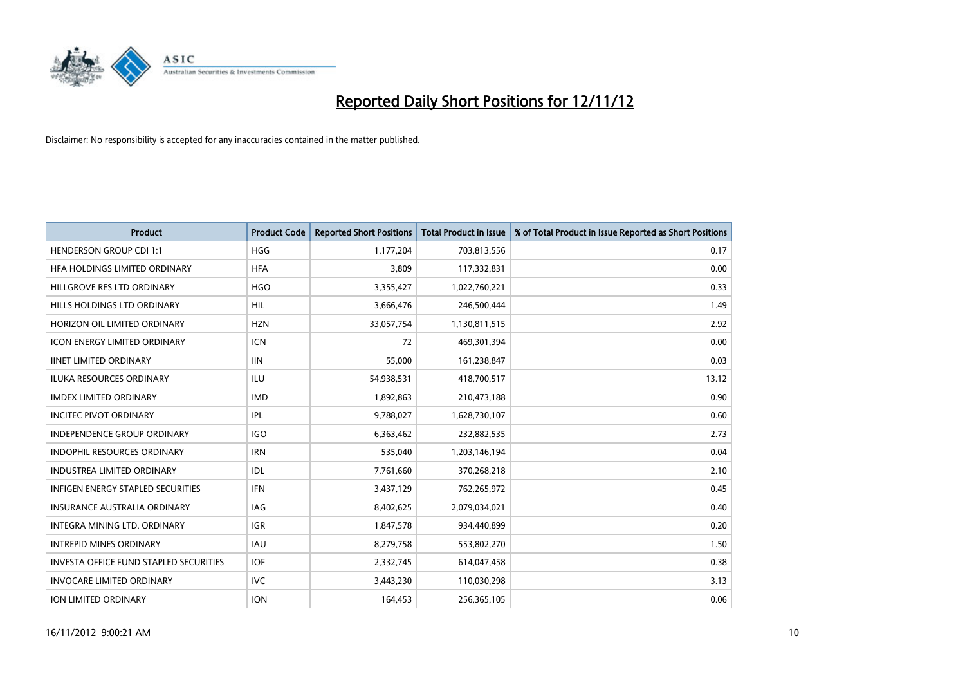

| <b>Product</b>                                | <b>Product Code</b> | <b>Reported Short Positions</b> | <b>Total Product in Issue</b> | % of Total Product in Issue Reported as Short Positions |
|-----------------------------------------------|---------------------|---------------------------------|-------------------------------|---------------------------------------------------------|
| <b>HENDERSON GROUP CDI 1:1</b>                | <b>HGG</b>          | 1,177,204                       | 703,813,556                   | 0.17                                                    |
| HFA HOLDINGS LIMITED ORDINARY                 | <b>HFA</b>          | 3,809                           | 117,332,831                   | 0.00                                                    |
| HILLGROVE RES LTD ORDINARY                    | <b>HGO</b>          | 3,355,427                       | 1,022,760,221                 | 0.33                                                    |
| HILLS HOLDINGS LTD ORDINARY                   | <b>HIL</b>          | 3,666,476                       | 246,500,444                   | 1.49                                                    |
| HORIZON OIL LIMITED ORDINARY                  | <b>HZN</b>          | 33,057,754                      | 1,130,811,515                 | 2.92                                                    |
| <b>ICON ENERGY LIMITED ORDINARY</b>           | <b>ICN</b>          | 72                              | 469,301,394                   | 0.00                                                    |
| <b>IINET LIMITED ORDINARY</b>                 | <b>IIN</b>          | 55,000                          | 161,238,847                   | 0.03                                                    |
| <b>ILUKA RESOURCES ORDINARY</b>               | ILU                 | 54,938,531                      | 418,700,517                   | 13.12                                                   |
| <b>IMDEX LIMITED ORDINARY</b>                 | <b>IMD</b>          | 1,892,863                       | 210,473,188                   | 0.90                                                    |
| <b>INCITEC PIVOT ORDINARY</b>                 | IPL                 | 9,788,027                       | 1,628,730,107                 | 0.60                                                    |
| <b>INDEPENDENCE GROUP ORDINARY</b>            | <b>IGO</b>          | 6,363,462                       | 232,882,535                   | 2.73                                                    |
| <b>INDOPHIL RESOURCES ORDINARY</b>            | <b>IRN</b>          | 535,040                         | 1,203,146,194                 | 0.04                                                    |
| <b>INDUSTREA LIMITED ORDINARY</b>             | IDL                 | 7,761,660                       | 370,268,218                   | 2.10                                                    |
| <b>INFIGEN ENERGY STAPLED SECURITIES</b>      | <b>IFN</b>          | 3,437,129                       | 762,265,972                   | 0.45                                                    |
| <b>INSURANCE AUSTRALIA ORDINARY</b>           | IAG                 | 8,402,625                       | 2,079,034,021                 | 0.40                                                    |
| <b>INTEGRA MINING LTD, ORDINARY</b>           | <b>IGR</b>          | 1,847,578                       | 934,440,899                   | 0.20                                                    |
| <b>INTREPID MINES ORDINARY</b>                | <b>IAU</b>          | 8,279,758                       | 553,802,270                   | 1.50                                                    |
| <b>INVESTA OFFICE FUND STAPLED SECURITIES</b> | <b>IOF</b>          | 2,332,745                       | 614,047,458                   | 0.38                                                    |
| <b>INVOCARE LIMITED ORDINARY</b>              | <b>IVC</b>          | 3,443,230                       | 110,030,298                   | 3.13                                                    |
| <b>ION LIMITED ORDINARY</b>                   | <b>ION</b>          | 164,453                         | 256,365,105                   | 0.06                                                    |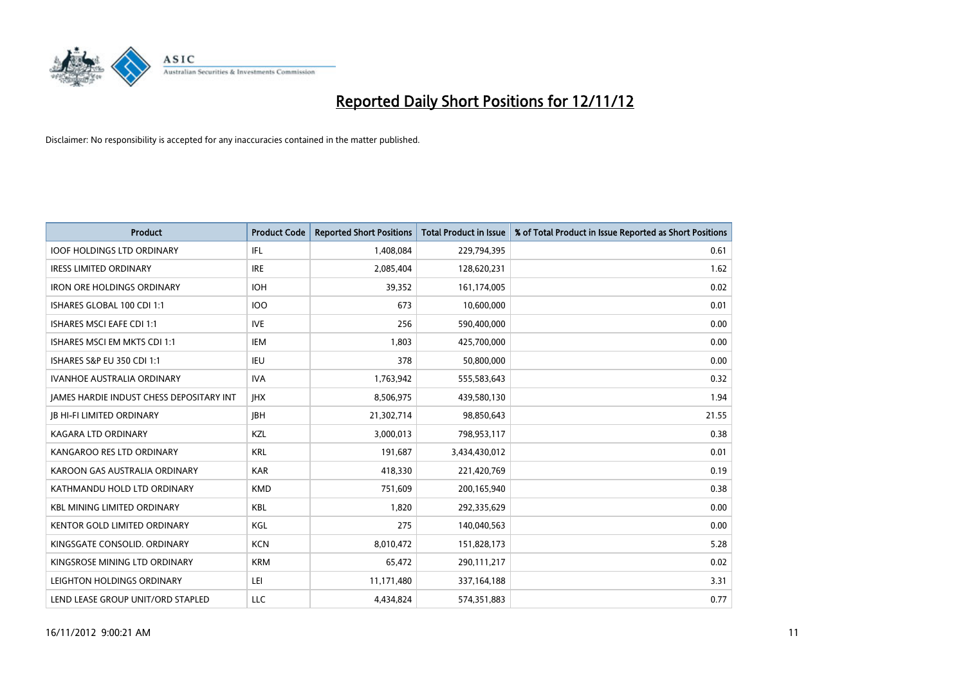

| <b>Product</b>                                  | <b>Product Code</b> | <b>Reported Short Positions</b> | <b>Total Product in Issue</b> | % of Total Product in Issue Reported as Short Positions |
|-------------------------------------------------|---------------------|---------------------------------|-------------------------------|---------------------------------------------------------|
| <b>IOOF HOLDINGS LTD ORDINARY</b>               | IFL.                | 1,408,084                       | 229,794,395                   | 0.61                                                    |
| <b>IRESS LIMITED ORDINARY</b>                   | <b>IRE</b>          | 2,085,404                       | 128,620,231                   | 1.62                                                    |
| <b>IRON ORE HOLDINGS ORDINARY</b>               | <b>IOH</b>          | 39,352                          | 161,174,005                   | 0.02                                                    |
| ISHARES GLOBAL 100 CDI 1:1                      | <b>IOO</b>          | 673                             | 10,600,000                    | 0.01                                                    |
| <b>ISHARES MSCI EAFE CDI 1:1</b>                | <b>IVE</b>          | 256                             | 590,400,000                   | 0.00                                                    |
| ISHARES MSCI EM MKTS CDI 1:1                    | <b>IEM</b>          | 1,803                           | 425,700,000                   | 0.00                                                    |
| ISHARES S&P EU 350 CDI 1:1                      | IEU                 | 378                             | 50,800,000                    | 0.00                                                    |
| <b>IVANHOE AUSTRALIA ORDINARY</b>               | <b>IVA</b>          | 1,763,942                       | 555,583,643                   | 0.32                                                    |
| <b>JAMES HARDIE INDUST CHESS DEPOSITARY INT</b> | <b>IHX</b>          | 8,506,975                       | 439,580,130                   | 1.94                                                    |
| <b>JB HI-FI LIMITED ORDINARY</b>                | <b>IBH</b>          | 21,302,714                      | 98,850,643                    | 21.55                                                   |
| KAGARA LTD ORDINARY                             | KZL                 | 3,000,013                       | 798,953,117                   | 0.38                                                    |
| KANGAROO RES LTD ORDINARY                       | <b>KRL</b>          | 191,687                         | 3,434,430,012                 | 0.01                                                    |
| KAROON GAS AUSTRALIA ORDINARY                   | <b>KAR</b>          | 418,330                         | 221,420,769                   | 0.19                                                    |
| KATHMANDU HOLD LTD ORDINARY                     | <b>KMD</b>          | 751,609                         | 200,165,940                   | 0.38                                                    |
| <b>KBL MINING LIMITED ORDINARY</b>              | <b>KBL</b>          | 1,820                           | 292,335,629                   | 0.00                                                    |
| <b>KENTOR GOLD LIMITED ORDINARY</b>             | KGL                 | 275                             | 140,040,563                   | 0.00                                                    |
| KINGSGATE CONSOLID. ORDINARY                    | <b>KCN</b>          | 8,010,472                       | 151,828,173                   | 5.28                                                    |
| KINGSROSE MINING LTD ORDINARY                   | <b>KRM</b>          | 65,472                          | 290,111,217                   | 0.02                                                    |
| LEIGHTON HOLDINGS ORDINARY                      | LEI                 | 11,171,480                      | 337,164,188                   | 3.31                                                    |
| LEND LEASE GROUP UNIT/ORD STAPLED               | LLC                 | 4,434,824                       | 574,351,883                   | 0.77                                                    |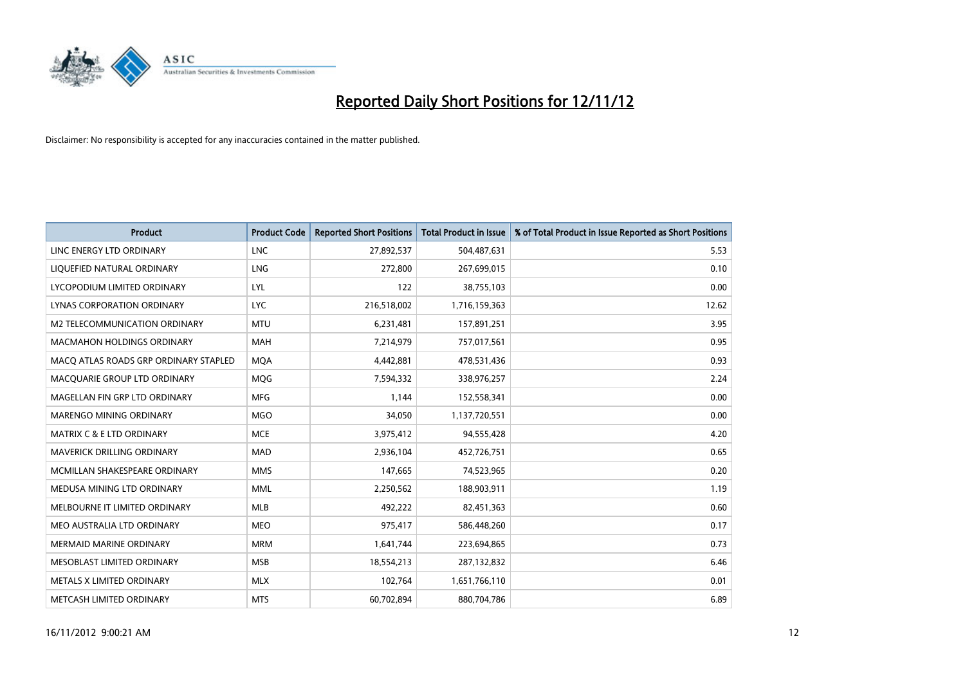

| <b>Product</b>                        | <b>Product Code</b> | <b>Reported Short Positions</b> | <b>Total Product in Issue</b> | % of Total Product in Issue Reported as Short Positions |
|---------------------------------------|---------------------|---------------------------------|-------------------------------|---------------------------------------------------------|
| LINC ENERGY LTD ORDINARY              | <b>LNC</b>          | 27,892,537                      | 504,487,631                   | 5.53                                                    |
| LIQUEFIED NATURAL ORDINARY            | LNG                 | 272,800                         | 267,699,015                   | 0.10                                                    |
| LYCOPODIUM LIMITED ORDINARY           | LYL                 | 122                             | 38,755,103                    | 0.00                                                    |
| LYNAS CORPORATION ORDINARY            | <b>LYC</b>          | 216,518,002                     | 1,716,159,363                 | 12.62                                                   |
| M2 TELECOMMUNICATION ORDINARY         | <b>MTU</b>          | 6,231,481                       | 157,891,251                   | 3.95                                                    |
| <b>MACMAHON HOLDINGS ORDINARY</b>     | <b>MAH</b>          | 7,214,979                       | 757,017,561                   | 0.95                                                    |
| MACQ ATLAS ROADS GRP ORDINARY STAPLED | <b>MOA</b>          | 4,442,881                       | 478,531,436                   | 0.93                                                    |
| MACQUARIE GROUP LTD ORDINARY          | <b>MOG</b>          | 7,594,332                       | 338,976,257                   | 2.24                                                    |
| MAGELLAN FIN GRP LTD ORDINARY         | <b>MFG</b>          | 1,144                           | 152,558,341                   | 0.00                                                    |
| <b>MARENGO MINING ORDINARY</b>        | <b>MGO</b>          | 34,050                          | 1,137,720,551                 | 0.00                                                    |
| <b>MATRIX C &amp; E LTD ORDINARY</b>  | <b>MCE</b>          | 3,975,412                       | 94,555,428                    | 4.20                                                    |
| <b>MAVERICK DRILLING ORDINARY</b>     | <b>MAD</b>          | 2,936,104                       | 452,726,751                   | 0.65                                                    |
| MCMILLAN SHAKESPEARE ORDINARY         | <b>MMS</b>          | 147,665                         | 74,523,965                    | 0.20                                                    |
| MEDUSA MINING LTD ORDINARY            | <b>MML</b>          | 2,250,562                       | 188,903,911                   | 1.19                                                    |
| MELBOURNE IT LIMITED ORDINARY         | <b>MLB</b>          | 492,222                         | 82,451,363                    | 0.60                                                    |
| MEO AUSTRALIA LTD ORDINARY            | <b>MEO</b>          | 975,417                         | 586,448,260                   | 0.17                                                    |
| <b>MERMAID MARINE ORDINARY</b>        | <b>MRM</b>          | 1,641,744                       | 223,694,865                   | 0.73                                                    |
| MESOBLAST LIMITED ORDINARY            | <b>MSB</b>          | 18,554,213                      | 287,132,832                   | 6.46                                                    |
| METALS X LIMITED ORDINARY             | <b>MLX</b>          | 102,764                         | 1,651,766,110                 | 0.01                                                    |
| METCASH LIMITED ORDINARY              | <b>MTS</b>          | 60.702.894                      | 880,704,786                   | 6.89                                                    |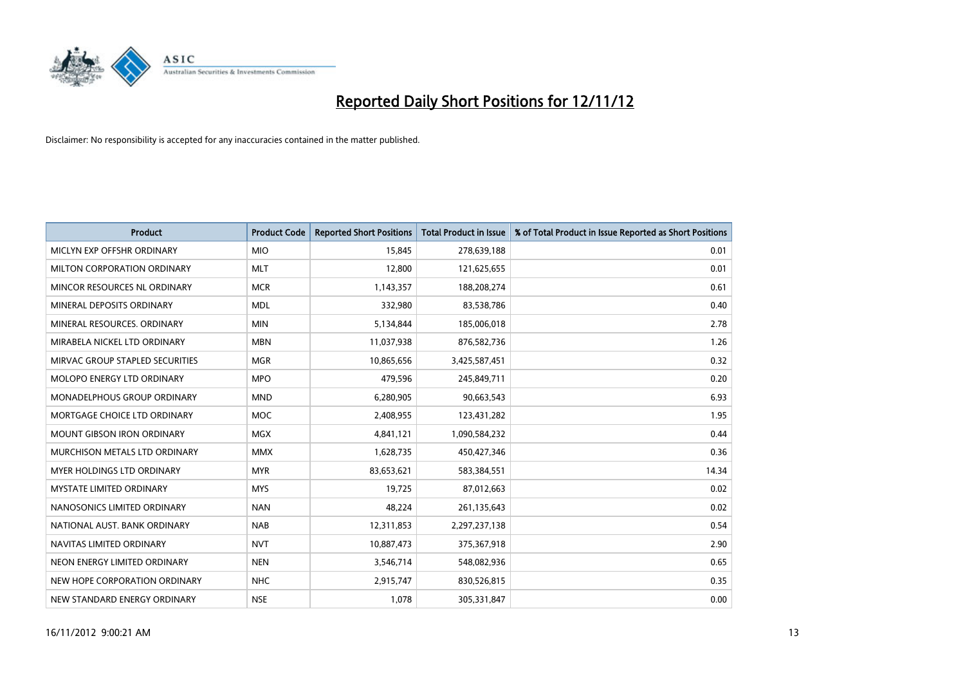

| <b>Product</b>                     | <b>Product Code</b> | <b>Reported Short Positions</b> | <b>Total Product in Issue</b> | % of Total Product in Issue Reported as Short Positions |
|------------------------------------|---------------------|---------------------------------|-------------------------------|---------------------------------------------------------|
| MICLYN EXP OFFSHR ORDINARY         | <b>MIO</b>          | 15,845                          | 278,639,188                   | 0.01                                                    |
| MILTON CORPORATION ORDINARY        | <b>MLT</b>          | 12,800                          | 121,625,655                   | 0.01                                                    |
| MINCOR RESOURCES NL ORDINARY       | <b>MCR</b>          | 1,143,357                       | 188,208,274                   | 0.61                                                    |
| MINERAL DEPOSITS ORDINARY          | <b>MDL</b>          | 332,980                         | 83,538,786                    | 0.40                                                    |
| MINERAL RESOURCES, ORDINARY        | <b>MIN</b>          | 5,134,844                       | 185,006,018                   | 2.78                                                    |
| MIRABELA NICKEL LTD ORDINARY       | <b>MBN</b>          | 11,037,938                      | 876,582,736                   | 1.26                                                    |
| MIRVAC GROUP STAPLED SECURITIES    | <b>MGR</b>          | 10,865,656                      | 3,425,587,451                 | 0.32                                                    |
| MOLOPO ENERGY LTD ORDINARY         | <b>MPO</b>          | 479,596                         | 245,849,711                   | 0.20                                                    |
| <b>MONADELPHOUS GROUP ORDINARY</b> | <b>MND</b>          | 6,280,905                       | 90,663,543                    | 6.93                                                    |
| MORTGAGE CHOICE LTD ORDINARY       | <b>MOC</b>          | 2,408,955                       | 123,431,282                   | 1.95                                                    |
| MOUNT GIBSON IRON ORDINARY         | <b>MGX</b>          | 4,841,121                       | 1,090,584,232                 | 0.44                                                    |
| MURCHISON METALS LTD ORDINARY      | <b>MMX</b>          | 1,628,735                       | 450,427,346                   | 0.36                                                    |
| MYER HOLDINGS LTD ORDINARY         | <b>MYR</b>          | 83,653,621                      | 583,384,551                   | 14.34                                                   |
| <b>MYSTATE LIMITED ORDINARY</b>    | <b>MYS</b>          | 19,725                          | 87,012,663                    | 0.02                                                    |
| NANOSONICS LIMITED ORDINARY        | <b>NAN</b>          | 48.224                          | 261,135,643                   | 0.02                                                    |
| NATIONAL AUST, BANK ORDINARY       | <b>NAB</b>          | 12,311,853                      | 2,297,237,138                 | 0.54                                                    |
| NAVITAS LIMITED ORDINARY           | <b>NVT</b>          | 10,887,473                      | 375,367,918                   | 2.90                                                    |
| NEON ENERGY LIMITED ORDINARY       | <b>NEN</b>          | 3,546,714                       | 548,082,936                   | 0.65                                                    |
| NEW HOPE CORPORATION ORDINARY      | <b>NHC</b>          | 2,915,747                       | 830,526,815                   | 0.35                                                    |
| NEW STANDARD ENERGY ORDINARY       | <b>NSE</b>          | 1,078                           | 305,331,847                   | 0.00                                                    |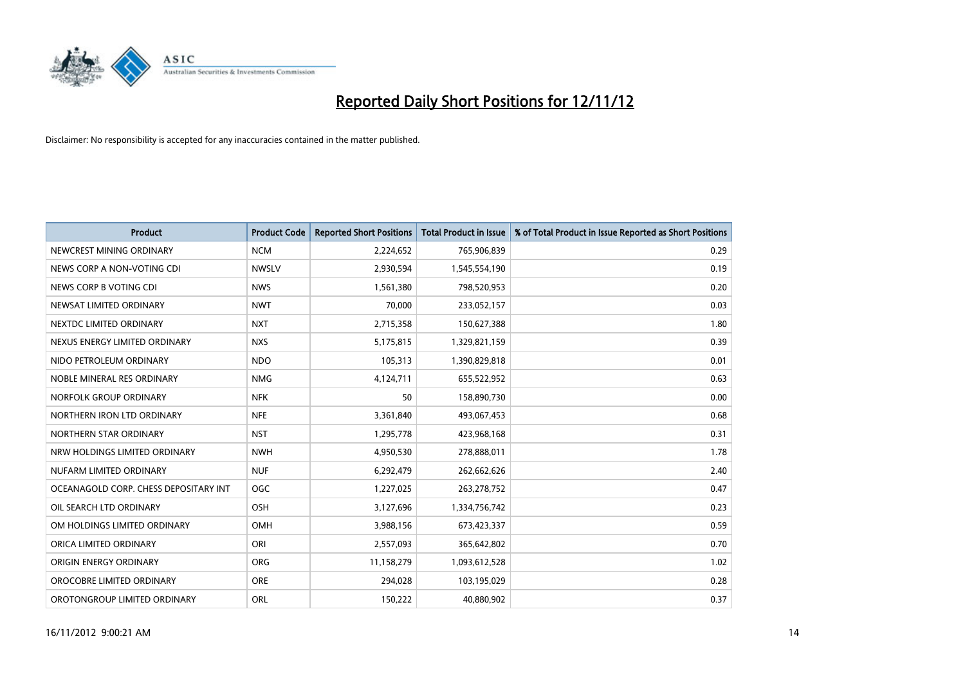

| <b>Product</b>                        | <b>Product Code</b> | <b>Reported Short Positions</b> | <b>Total Product in Issue</b> | % of Total Product in Issue Reported as Short Positions |
|---------------------------------------|---------------------|---------------------------------|-------------------------------|---------------------------------------------------------|
| NEWCREST MINING ORDINARY              | <b>NCM</b>          | 2,224,652                       | 765,906,839                   | 0.29                                                    |
| NEWS CORP A NON-VOTING CDI            | <b>NWSLV</b>        | 2,930,594                       | 1,545,554,190                 | 0.19                                                    |
| NEWS CORP B VOTING CDI                | <b>NWS</b>          | 1,561,380                       | 798,520,953                   | 0.20                                                    |
| NEWSAT LIMITED ORDINARY               | <b>NWT</b>          | 70,000                          | 233,052,157                   | 0.03                                                    |
| NEXTDC LIMITED ORDINARY               | <b>NXT</b>          | 2,715,358                       | 150,627,388                   | 1.80                                                    |
| NEXUS ENERGY LIMITED ORDINARY         | <b>NXS</b>          | 5,175,815                       | 1,329,821,159                 | 0.39                                                    |
| NIDO PETROLEUM ORDINARY               | <b>NDO</b>          | 105,313                         | 1,390,829,818                 | 0.01                                                    |
| NOBLE MINERAL RES ORDINARY            | <b>NMG</b>          | 4,124,711                       | 655,522,952                   | 0.63                                                    |
| NORFOLK GROUP ORDINARY                | <b>NFK</b>          | 50                              | 158,890,730                   | 0.00                                                    |
| NORTHERN IRON LTD ORDINARY            | <b>NFE</b>          | 3,361,840                       | 493,067,453                   | 0.68                                                    |
| NORTHERN STAR ORDINARY                | <b>NST</b>          | 1,295,778                       | 423,968,168                   | 0.31                                                    |
| NRW HOLDINGS LIMITED ORDINARY         | <b>NWH</b>          | 4,950,530                       | 278,888,011                   | 1.78                                                    |
| NUFARM LIMITED ORDINARY               | <b>NUF</b>          | 6,292,479                       | 262,662,626                   | 2.40                                                    |
| OCEANAGOLD CORP. CHESS DEPOSITARY INT | <b>OGC</b>          | 1,227,025                       | 263,278,752                   | 0.47                                                    |
| OIL SEARCH LTD ORDINARY               | <b>OSH</b>          | 3,127,696                       | 1,334,756,742                 | 0.23                                                    |
| OM HOLDINGS LIMITED ORDINARY          | <b>OMH</b>          | 3,988,156                       | 673,423,337                   | 0.59                                                    |
| ORICA LIMITED ORDINARY                | ORI                 | 2,557,093                       | 365,642,802                   | 0.70                                                    |
| ORIGIN ENERGY ORDINARY                | <b>ORG</b>          | 11,158,279                      | 1,093,612,528                 | 1.02                                                    |
| OROCOBRE LIMITED ORDINARY             | <b>ORE</b>          | 294,028                         | 103,195,029                   | 0.28                                                    |
| OROTONGROUP LIMITED ORDINARY          | ORL                 | 150,222                         | 40,880,902                    | 0.37                                                    |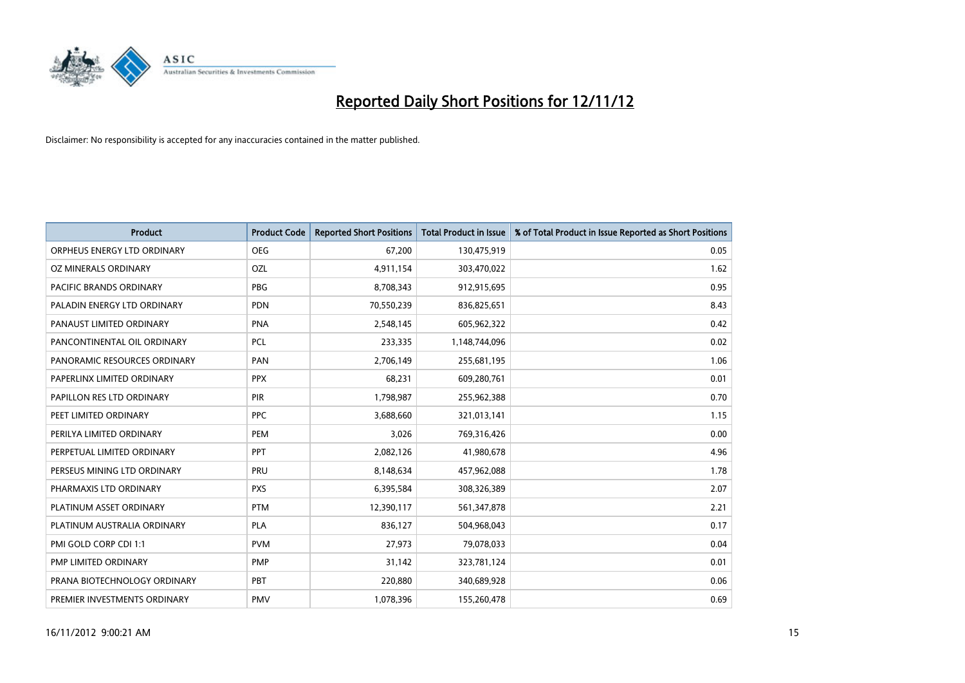

| <b>Product</b>               | <b>Product Code</b> | <b>Reported Short Positions</b> | <b>Total Product in Issue</b> | % of Total Product in Issue Reported as Short Positions |
|------------------------------|---------------------|---------------------------------|-------------------------------|---------------------------------------------------------|
| ORPHEUS ENERGY LTD ORDINARY  | <b>OEG</b>          | 67,200                          | 130,475,919                   | 0.05                                                    |
| OZ MINERALS ORDINARY         | OZL                 | 4,911,154                       | 303,470,022                   | 1.62                                                    |
| PACIFIC BRANDS ORDINARY      | <b>PBG</b>          | 8,708,343                       | 912,915,695                   | 0.95                                                    |
| PALADIN ENERGY LTD ORDINARY  | <b>PDN</b>          | 70,550,239                      | 836,825,651                   | 8.43                                                    |
| PANAUST LIMITED ORDINARY     | <b>PNA</b>          | 2,548,145                       | 605,962,322                   | 0.42                                                    |
| PANCONTINENTAL OIL ORDINARY  | <b>PCL</b>          | 233,335                         | 1,148,744,096                 | 0.02                                                    |
| PANORAMIC RESOURCES ORDINARY | PAN                 | 2,706,149                       | 255,681,195                   | 1.06                                                    |
| PAPERLINX LIMITED ORDINARY   | <b>PPX</b>          | 68,231                          | 609,280,761                   | 0.01                                                    |
| PAPILLON RES LTD ORDINARY    | PIR                 | 1,798,987                       | 255,962,388                   | 0.70                                                    |
| PEET LIMITED ORDINARY        | <b>PPC</b>          | 3,688,660                       | 321,013,141                   | 1.15                                                    |
| PERILYA LIMITED ORDINARY     | PEM                 | 3,026                           | 769,316,426                   | 0.00                                                    |
| PERPETUAL LIMITED ORDINARY   | PPT                 | 2,082,126                       | 41,980,678                    | 4.96                                                    |
| PERSEUS MINING LTD ORDINARY  | PRU                 | 8,148,634                       | 457,962,088                   | 1.78                                                    |
| PHARMAXIS LTD ORDINARY       | <b>PXS</b>          | 6,395,584                       | 308,326,389                   | 2.07                                                    |
| PLATINUM ASSET ORDINARY      | <b>PTM</b>          | 12,390,117                      | 561,347,878                   | 2.21                                                    |
| PLATINUM AUSTRALIA ORDINARY  | <b>PLA</b>          | 836,127                         | 504,968,043                   | 0.17                                                    |
| PMI GOLD CORP CDI 1:1        | <b>PVM</b>          | 27,973                          | 79,078,033                    | 0.04                                                    |
| PMP LIMITED ORDINARY         | <b>PMP</b>          | 31,142                          | 323,781,124                   | 0.01                                                    |
| PRANA BIOTECHNOLOGY ORDINARY | PBT                 | 220,880                         | 340,689,928                   | 0.06                                                    |
| PREMIER INVESTMENTS ORDINARY | <b>PMV</b>          | 1,078,396                       | 155,260,478                   | 0.69                                                    |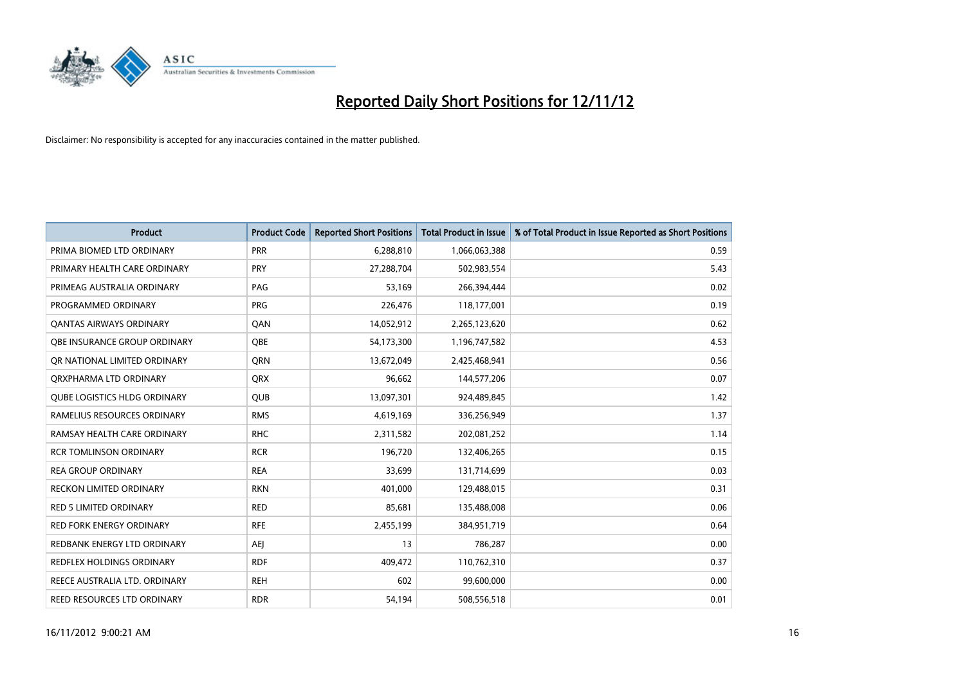

| <b>Product</b>                      | <b>Product Code</b> | <b>Reported Short Positions</b> | <b>Total Product in Issue</b> | % of Total Product in Issue Reported as Short Positions |
|-------------------------------------|---------------------|---------------------------------|-------------------------------|---------------------------------------------------------|
| PRIMA BIOMED LTD ORDINARY           | <b>PRR</b>          | 6,288,810                       | 1,066,063,388                 | 0.59                                                    |
| PRIMARY HEALTH CARE ORDINARY        | <b>PRY</b>          | 27,288,704                      | 502,983,554                   | 5.43                                                    |
| PRIMEAG AUSTRALIA ORDINARY          | PAG                 | 53,169                          | 266,394,444                   | 0.02                                                    |
| PROGRAMMED ORDINARY                 | <b>PRG</b>          | 226,476                         | 118,177,001                   | 0.19                                                    |
| OANTAS AIRWAYS ORDINARY             | QAN                 | 14,052,912                      | 2,265,123,620                 | 0.62                                                    |
| OBE INSURANCE GROUP ORDINARY        | <b>OBE</b>          | 54,173,300                      | 1,196,747,582                 | 4.53                                                    |
| OR NATIONAL LIMITED ORDINARY        | <b>ORN</b>          | 13,672,049                      | 2,425,468,941                 | 0.56                                                    |
| ORXPHARMA LTD ORDINARY              | <b>ORX</b>          | 96,662                          | 144,577,206                   | 0.07                                                    |
| <b>QUBE LOGISTICS HLDG ORDINARY</b> | <b>QUB</b>          | 13,097,301                      | 924,489,845                   | 1.42                                                    |
| RAMELIUS RESOURCES ORDINARY         | <b>RMS</b>          | 4,619,169                       | 336,256,949                   | 1.37                                                    |
| RAMSAY HEALTH CARE ORDINARY         | <b>RHC</b>          | 2,311,582                       | 202,081,252                   | 1.14                                                    |
| <b>RCR TOMLINSON ORDINARY</b>       | <b>RCR</b>          | 196,720                         | 132,406,265                   | 0.15                                                    |
| <b>REA GROUP ORDINARY</b>           | <b>REA</b>          | 33,699                          | 131,714,699                   | 0.03                                                    |
| <b>RECKON LIMITED ORDINARY</b>      | <b>RKN</b>          | 401,000                         | 129,488,015                   | 0.31                                                    |
| <b>RED 5 LIMITED ORDINARY</b>       | <b>RED</b>          | 85,681                          | 135,488,008                   | 0.06                                                    |
| RED FORK ENERGY ORDINARY            | <b>RFE</b>          | 2,455,199                       | 384,951,719                   | 0.64                                                    |
| REDBANK ENERGY LTD ORDINARY         | <b>AEJ</b>          | 13                              | 786,287                       | 0.00                                                    |
| REDFLEX HOLDINGS ORDINARY           | <b>RDF</b>          | 409,472                         | 110,762,310                   | 0.37                                                    |
| REECE AUSTRALIA LTD. ORDINARY       | <b>REH</b>          | 602                             | 99,600,000                    | 0.00                                                    |
| REED RESOURCES LTD ORDINARY         | <b>RDR</b>          | 54,194                          | 508,556,518                   | 0.01                                                    |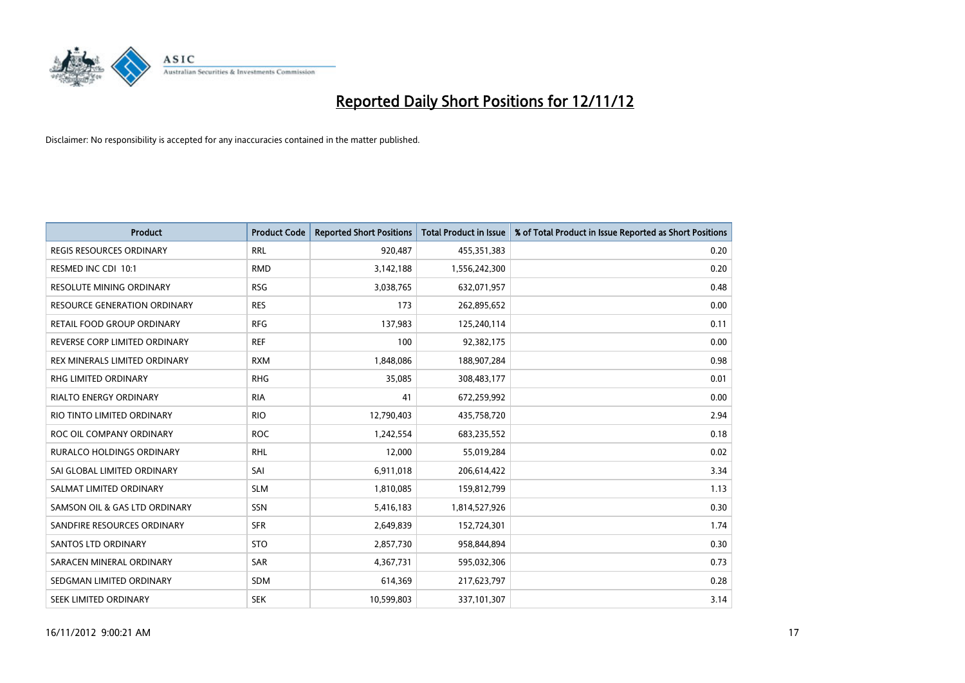

| <b>Product</b>                   | <b>Product Code</b> | <b>Reported Short Positions</b> | <b>Total Product in Issue</b> | % of Total Product in Issue Reported as Short Positions |
|----------------------------------|---------------------|---------------------------------|-------------------------------|---------------------------------------------------------|
| <b>REGIS RESOURCES ORDINARY</b>  | <b>RRL</b>          | 920,487                         | 455,351,383                   | 0.20                                                    |
| RESMED INC CDI 10:1              | <b>RMD</b>          | 3,142,188                       | 1,556,242,300                 | 0.20                                                    |
| <b>RESOLUTE MINING ORDINARY</b>  | <b>RSG</b>          | 3,038,765                       | 632,071,957                   | 0.48                                                    |
| RESOURCE GENERATION ORDINARY     | <b>RES</b>          | 173                             | 262,895,652                   | 0.00                                                    |
| RETAIL FOOD GROUP ORDINARY       | <b>RFG</b>          | 137,983                         | 125,240,114                   | 0.11                                                    |
| REVERSE CORP LIMITED ORDINARY    | <b>REF</b>          | 100                             | 92,382,175                    | 0.00                                                    |
| REX MINERALS LIMITED ORDINARY    | <b>RXM</b>          | 1,848,086                       | 188,907,284                   | 0.98                                                    |
| RHG LIMITED ORDINARY             | <b>RHG</b>          | 35,085                          | 308,483,177                   | 0.01                                                    |
| <b>RIALTO ENERGY ORDINARY</b>    | <b>RIA</b>          | 41                              | 672,259,992                   | 0.00                                                    |
| RIO TINTO LIMITED ORDINARY       | <b>RIO</b>          | 12,790,403                      | 435,758,720                   | 2.94                                                    |
| ROC OIL COMPANY ORDINARY         | <b>ROC</b>          | 1,242,554                       | 683,235,552                   | 0.18                                                    |
| <b>RURALCO HOLDINGS ORDINARY</b> | <b>RHL</b>          | 12,000                          | 55,019,284                    | 0.02                                                    |
| SAI GLOBAL LIMITED ORDINARY      | SAI                 | 6,911,018                       | 206,614,422                   | 3.34                                                    |
| SALMAT LIMITED ORDINARY          | <b>SLM</b>          | 1,810,085                       | 159,812,799                   | 1.13                                                    |
| SAMSON OIL & GAS LTD ORDINARY    | SSN                 | 5,416,183                       | 1,814,527,926                 | 0.30                                                    |
| SANDFIRE RESOURCES ORDINARY      | <b>SFR</b>          | 2,649,839                       | 152,724,301                   | 1.74                                                    |
| <b>SANTOS LTD ORDINARY</b>       | <b>STO</b>          | 2,857,730                       | 958,844,894                   | 0.30                                                    |
| SARACEN MINERAL ORDINARY         | SAR                 | 4,367,731                       | 595,032,306                   | 0.73                                                    |
| SEDGMAN LIMITED ORDINARY         | <b>SDM</b>          | 614,369                         | 217,623,797                   | 0.28                                                    |
| SEEK LIMITED ORDINARY            | <b>SEK</b>          | 10,599,803                      | 337,101,307                   | 3.14                                                    |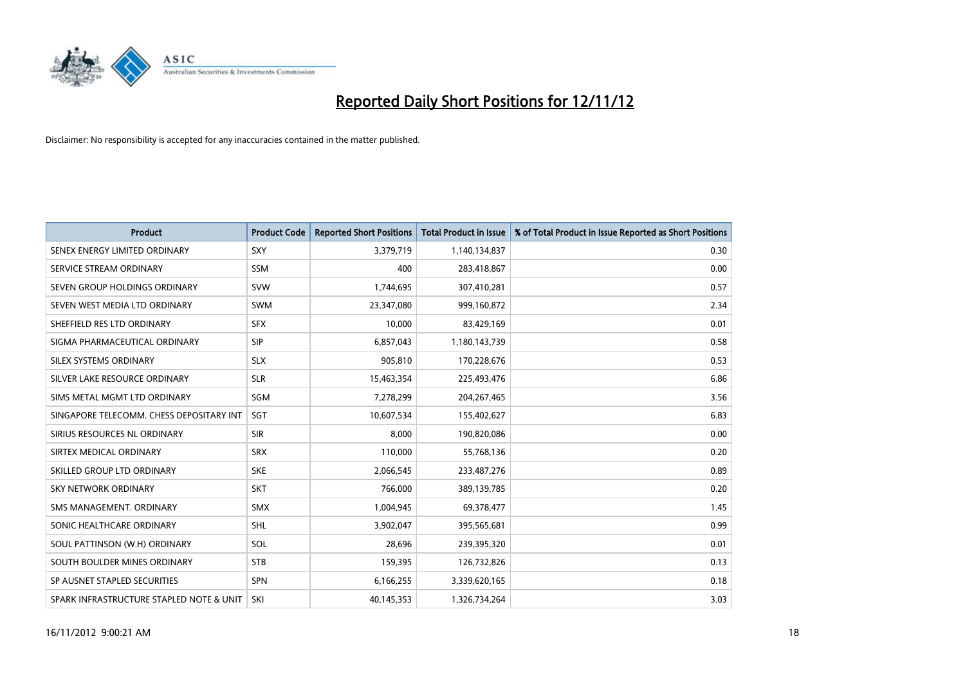

| <b>Product</b>                           | <b>Product Code</b> | <b>Reported Short Positions</b> | <b>Total Product in Issue</b> | % of Total Product in Issue Reported as Short Positions |
|------------------------------------------|---------------------|---------------------------------|-------------------------------|---------------------------------------------------------|
| SENEX ENERGY LIMITED ORDINARY            | <b>SXY</b>          | 3,379,719                       | 1,140,134,837                 | 0.30                                                    |
| SERVICE STREAM ORDINARY                  | <b>SSM</b>          | 400                             | 283,418,867                   | 0.00                                                    |
| SEVEN GROUP HOLDINGS ORDINARY            | <b>SVW</b>          | 1,744,695                       | 307,410,281                   | 0.57                                                    |
| SEVEN WEST MEDIA LTD ORDINARY            | <b>SWM</b>          | 23,347,080                      | 999,160,872                   | 2.34                                                    |
| SHEFFIELD RES LTD ORDINARY               | <b>SFX</b>          | 10,000                          | 83,429,169                    | 0.01                                                    |
| SIGMA PHARMACEUTICAL ORDINARY            | <b>SIP</b>          | 6,857,043                       | 1,180,143,739                 | 0.58                                                    |
| SILEX SYSTEMS ORDINARY                   | <b>SLX</b>          | 905.810                         | 170,228,676                   | 0.53                                                    |
| SILVER LAKE RESOURCE ORDINARY            | <b>SLR</b>          | 15,463,354                      | 225,493,476                   | 6.86                                                    |
| SIMS METAL MGMT LTD ORDINARY             | SGM                 | 7,278,299                       | 204, 267, 465                 | 3.56                                                    |
| SINGAPORE TELECOMM. CHESS DEPOSITARY INT | SGT                 | 10,607,534                      | 155,402,627                   | 6.83                                                    |
| SIRIUS RESOURCES NL ORDINARY             | <b>SIR</b>          | 8,000                           | 190,820,086                   | 0.00                                                    |
| SIRTEX MEDICAL ORDINARY                  | <b>SRX</b>          | 110,000                         | 55,768,136                    | 0.20                                                    |
| SKILLED GROUP LTD ORDINARY               | <b>SKE</b>          | 2,066,545                       | 233,487,276                   | 0.89                                                    |
| <b>SKY NETWORK ORDINARY</b>              | <b>SKT</b>          | 766,000                         | 389,139,785                   | 0.20                                                    |
| SMS MANAGEMENT, ORDINARY                 | <b>SMX</b>          | 1,004,945                       | 69,378,477                    | 1.45                                                    |
| SONIC HEALTHCARE ORDINARY                | <b>SHL</b>          | 3,902,047                       | 395,565,681                   | 0.99                                                    |
| SOUL PATTINSON (W.H) ORDINARY            | SOL                 | 28,696                          | 239,395,320                   | 0.01                                                    |
| SOUTH BOULDER MINES ORDINARY             | <b>STB</b>          | 159,395                         | 126,732,826                   | 0.13                                                    |
| SP AUSNET STAPLED SECURITIES             | <b>SPN</b>          | 6,166,255                       | 3,339,620,165                 | 0.18                                                    |
| SPARK INFRASTRUCTURE STAPLED NOTE & UNIT | SKI                 | 40,145,353                      | 1,326,734,264                 | 3.03                                                    |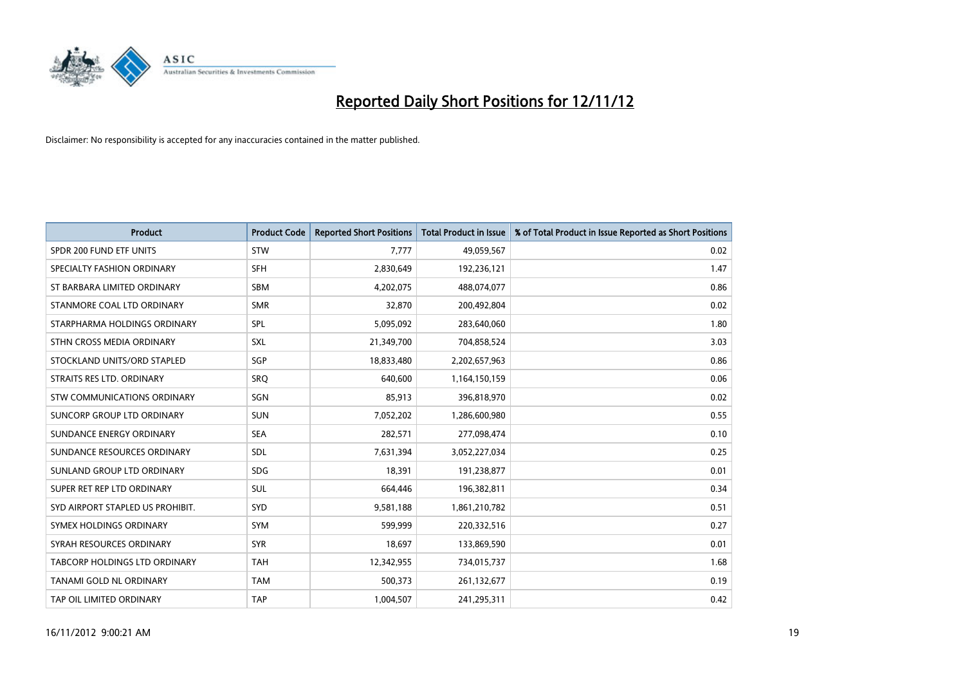

| <b>Product</b>                       | <b>Product Code</b> | <b>Reported Short Positions</b> | <b>Total Product in Issue</b> | % of Total Product in Issue Reported as Short Positions |
|--------------------------------------|---------------------|---------------------------------|-------------------------------|---------------------------------------------------------|
| SPDR 200 FUND ETF UNITS              | <b>STW</b>          | 7,777                           | 49,059,567                    | 0.02                                                    |
| SPECIALTY FASHION ORDINARY           | <b>SFH</b>          | 2,830,649                       | 192,236,121                   | 1.47                                                    |
| ST BARBARA LIMITED ORDINARY          | <b>SBM</b>          | 4,202,075                       | 488,074,077                   | 0.86                                                    |
| STANMORE COAL LTD ORDINARY           | <b>SMR</b>          | 32,870                          | 200,492,804                   | 0.02                                                    |
| STARPHARMA HOLDINGS ORDINARY         | <b>SPL</b>          | 5,095,092                       | 283,640,060                   | 1.80                                                    |
| STHN CROSS MEDIA ORDINARY            | <b>SXL</b>          | 21,349,700                      | 704,858,524                   | 3.03                                                    |
| STOCKLAND UNITS/ORD STAPLED          | <b>SGP</b>          | 18,833,480                      | 2,202,657,963                 | 0.86                                                    |
| STRAITS RES LTD. ORDINARY            | SRO                 | 640,600                         | 1,164,150,159                 | 0.06                                                    |
| STW COMMUNICATIONS ORDINARY          | SGN                 | 85,913                          | 396,818,970                   | 0.02                                                    |
| SUNCORP GROUP LTD ORDINARY           | <b>SUN</b>          | 7,052,202                       | 1,286,600,980                 | 0.55                                                    |
| SUNDANCE ENERGY ORDINARY             | <b>SEA</b>          | 282,571                         | 277,098,474                   | 0.10                                                    |
| SUNDANCE RESOURCES ORDINARY          | <b>SDL</b>          | 7,631,394                       | 3,052,227,034                 | 0.25                                                    |
| SUNLAND GROUP LTD ORDINARY           | <b>SDG</b>          | 18,391                          | 191,238,877                   | 0.01                                                    |
| SUPER RET REP LTD ORDINARY           | <b>SUL</b>          | 664,446                         | 196,382,811                   | 0.34                                                    |
| SYD AIRPORT STAPLED US PROHIBIT.     | <b>SYD</b>          | 9,581,188                       | 1,861,210,782                 | 0.51                                                    |
| SYMEX HOLDINGS ORDINARY              | <b>SYM</b>          | 599,999                         | 220,332,516                   | 0.27                                                    |
| SYRAH RESOURCES ORDINARY             | <b>SYR</b>          | 18,697                          | 133,869,590                   | 0.01                                                    |
| <b>TABCORP HOLDINGS LTD ORDINARY</b> | <b>TAH</b>          | 12,342,955                      | 734,015,737                   | 1.68                                                    |
| TANAMI GOLD NL ORDINARY              | <b>TAM</b>          | 500,373                         | 261,132,677                   | 0.19                                                    |
| TAP OIL LIMITED ORDINARY             | <b>TAP</b>          | 1,004,507                       | 241,295,311                   | 0.42                                                    |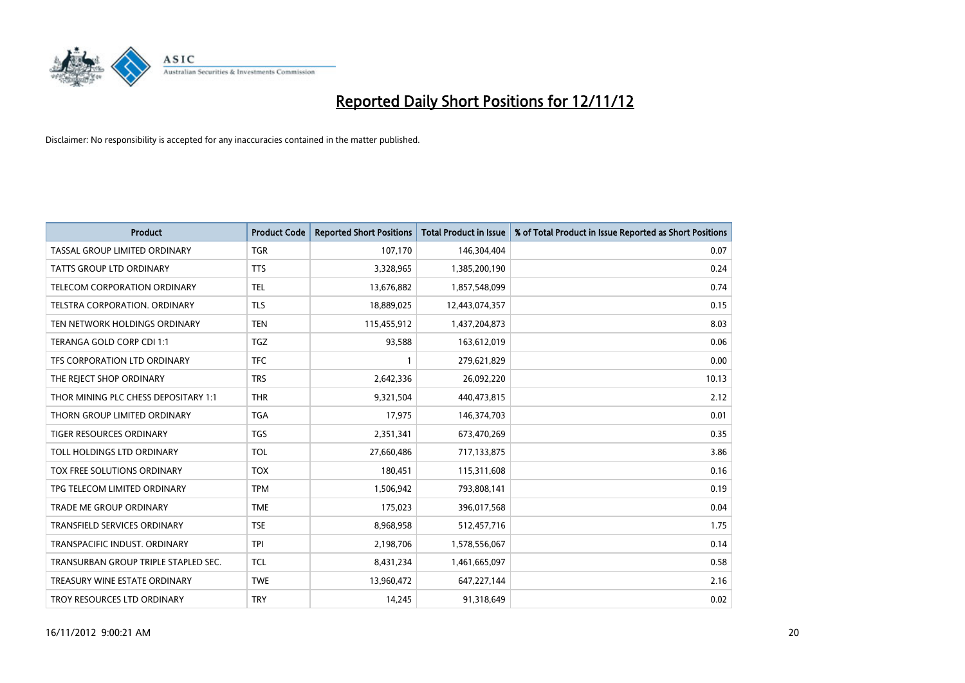

| <b>Product</b>                       | <b>Product Code</b> | <b>Reported Short Positions</b> | <b>Total Product in Issue</b> | % of Total Product in Issue Reported as Short Positions |
|--------------------------------------|---------------------|---------------------------------|-------------------------------|---------------------------------------------------------|
| TASSAL GROUP LIMITED ORDINARY        | <b>TGR</b>          | 107,170                         | 146,304,404                   | 0.07                                                    |
| TATTS GROUP LTD ORDINARY             | <b>TTS</b>          | 3,328,965                       | 1,385,200,190                 | 0.24                                                    |
| TELECOM CORPORATION ORDINARY         | <b>TEL</b>          | 13,676,882                      | 1,857,548,099                 | 0.74                                                    |
| <b>TELSTRA CORPORATION, ORDINARY</b> | <b>TLS</b>          | 18,889,025                      | 12,443,074,357                | 0.15                                                    |
| TEN NETWORK HOLDINGS ORDINARY        | <b>TEN</b>          | 115,455,912                     | 1,437,204,873                 | 8.03                                                    |
| TERANGA GOLD CORP CDI 1:1            | <b>TGZ</b>          | 93,588                          | 163,612,019                   | 0.06                                                    |
| TFS CORPORATION LTD ORDINARY         | <b>TFC</b>          |                                 | 279,621,829                   | 0.00                                                    |
| THE REJECT SHOP ORDINARY             | <b>TRS</b>          | 2,642,336                       | 26,092,220                    | 10.13                                                   |
| THOR MINING PLC CHESS DEPOSITARY 1:1 | <b>THR</b>          | 9,321,504                       | 440,473,815                   | 2.12                                                    |
| THORN GROUP LIMITED ORDINARY         | <b>TGA</b>          | 17,975                          | 146,374,703                   | 0.01                                                    |
| TIGER RESOURCES ORDINARY             | <b>TGS</b>          | 2,351,341                       | 673,470,269                   | 0.35                                                    |
| TOLL HOLDINGS LTD ORDINARY           | TOL                 | 27,660,486                      | 717,133,875                   | 3.86                                                    |
| <b>TOX FREE SOLUTIONS ORDINARY</b>   | <b>TOX</b>          | 180,451                         | 115,311,608                   | 0.16                                                    |
| TPG TELECOM LIMITED ORDINARY         | <b>TPM</b>          | 1,506,942                       | 793,808,141                   | 0.19                                                    |
| <b>TRADE ME GROUP ORDINARY</b>       | <b>TME</b>          | 175,023                         | 396,017,568                   | 0.04                                                    |
| TRANSFIELD SERVICES ORDINARY         | <b>TSE</b>          | 8,968,958                       | 512,457,716                   | 1.75                                                    |
| TRANSPACIFIC INDUST. ORDINARY        | <b>TPI</b>          | 2,198,706                       | 1,578,556,067                 | 0.14                                                    |
| TRANSURBAN GROUP TRIPLE STAPLED SEC. | <b>TCL</b>          | 8,431,234                       | 1,461,665,097                 | 0.58                                                    |
| TREASURY WINE ESTATE ORDINARY        | <b>TWE</b>          | 13,960,472                      | 647,227,144                   | 2.16                                                    |
| TROY RESOURCES LTD ORDINARY          | <b>TRY</b>          | 14,245                          | 91,318,649                    | 0.02                                                    |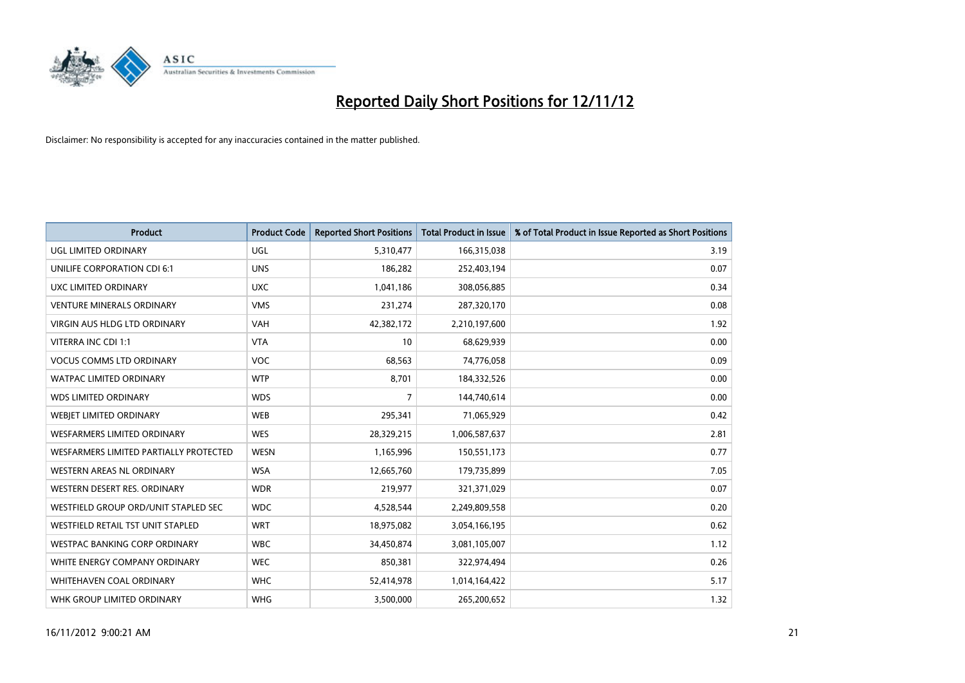

| <b>Product</b>                         | <b>Product Code</b> | <b>Reported Short Positions</b> | <b>Total Product in Issue</b> | % of Total Product in Issue Reported as Short Positions |
|----------------------------------------|---------------------|---------------------------------|-------------------------------|---------------------------------------------------------|
| UGL LIMITED ORDINARY                   | UGL                 | 5,310,477                       | 166,315,038                   | 3.19                                                    |
| UNILIFE CORPORATION CDI 6:1            | <b>UNS</b>          | 186,282                         | 252,403,194                   | 0.07                                                    |
| UXC LIMITED ORDINARY                   | <b>UXC</b>          | 1,041,186                       | 308,056,885                   | 0.34                                                    |
| <b>VENTURE MINERALS ORDINARY</b>       | <b>VMS</b>          | 231,274                         | 287,320,170                   | 0.08                                                    |
| VIRGIN AUS HLDG LTD ORDINARY           | <b>VAH</b>          | 42,382,172                      | 2,210,197,600                 | 1.92                                                    |
| VITERRA INC CDI 1:1                    | <b>VTA</b>          | 10                              | 68,629,939                    | 0.00                                                    |
| <b>VOCUS COMMS LTD ORDINARY</b>        | <b>VOC</b>          | 68,563                          | 74,776,058                    | 0.09                                                    |
| WATPAC LIMITED ORDINARY                | <b>WTP</b>          | 8,701                           | 184,332,526                   | 0.00                                                    |
| <b>WDS LIMITED ORDINARY</b>            | <b>WDS</b>          | 7                               | 144,740,614                   | 0.00                                                    |
| <b>WEBJET LIMITED ORDINARY</b>         | <b>WEB</b>          | 295,341                         | 71,065,929                    | 0.42                                                    |
| WESFARMERS LIMITED ORDINARY            | <b>WES</b>          | 28,329,215                      | 1,006,587,637                 | 2.81                                                    |
| WESFARMERS LIMITED PARTIALLY PROTECTED | <b>WESN</b>         | 1,165,996                       | 150,551,173                   | 0.77                                                    |
| WESTERN AREAS NL ORDINARY              | <b>WSA</b>          | 12,665,760                      | 179,735,899                   | 7.05                                                    |
| WESTERN DESERT RES. ORDINARY           | <b>WDR</b>          | 219,977                         | 321,371,029                   | 0.07                                                    |
| WESTFIELD GROUP ORD/UNIT STAPLED SEC   | <b>WDC</b>          | 4,528,544                       | 2,249,809,558                 | 0.20                                                    |
| WESTFIELD RETAIL TST UNIT STAPLED      | <b>WRT</b>          | 18,975,082                      | 3,054,166,195                 | 0.62                                                    |
| WESTPAC BANKING CORP ORDINARY          | <b>WBC</b>          | 34,450,874                      | 3,081,105,007                 | 1.12                                                    |
| WHITE ENERGY COMPANY ORDINARY          | <b>WEC</b>          | 850,381                         | 322,974,494                   | 0.26                                                    |
| WHITEHAVEN COAL ORDINARY               | <b>WHC</b>          | 52,414,978                      | 1,014,164,422                 | 5.17                                                    |
| WHK GROUP LIMITED ORDINARY             | <b>WHG</b>          | 3,500,000                       | 265,200,652                   | 1.32                                                    |